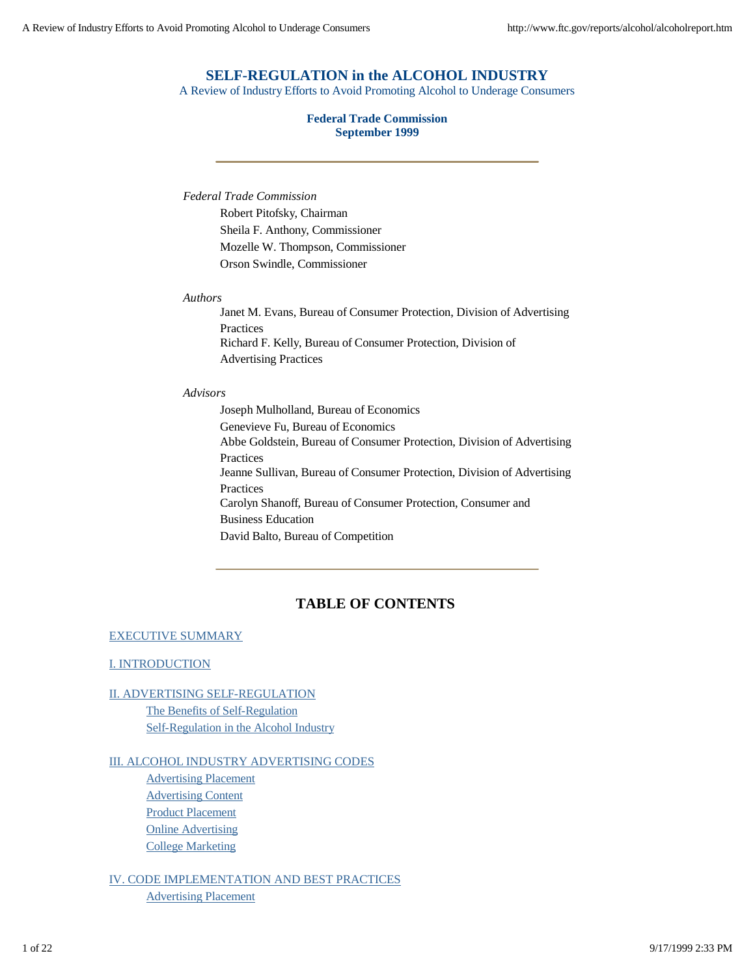### **SELF-REGULATION in the ALCOHOL INDUSTRY**

A Review of Industry Efforts to Avoid Promoting Alcohol to Underage Consumers

### **Federal Trade Commission September 1999**

*Federal Trade Commission*

Robert Pitofsky, Chairman Sheila F. Anthony, Commissioner Mozelle W. Thompson, Commissioner Orson Swindle, Commissioner

#### *Authors*

Janet M. Evans, Bureau of Consumer Protection, Division of Advertising Practices Richard F. Kelly, Bureau of Consumer Protection, Division of Advertising Practices

#### *Advisors*

Joseph Mulholland, Bureau of Economics Genevieve Fu, Bureau of Economics Abbe Goldstein, Bureau of Consumer Protection, Division of Advertising Practices Jeanne Sullivan, Bureau of Consumer Protection, Division of Advertising Practices Carolyn Shanoff, Bureau of Consumer Protection, Consumer and Business Education David Balto, Bureau of Competition

### **TABLE OF CONTENTS**

#### EXECUTIVE SUMMARY

#### I. INTRODUCTION

### II. ADVERTISING SELF-REGULATION

The Benefits of Self-Regulation Self-Regulation in the Alcohol Industry

#### III. ALCOHOL INDUSTRY ADVERTISING CODES

Advertising Placement Advertising Content Product Placement **Online Advertising** College Marketing

IV. CODE IMPLEMENTATION AND BEST PRACTICES Advertising Placement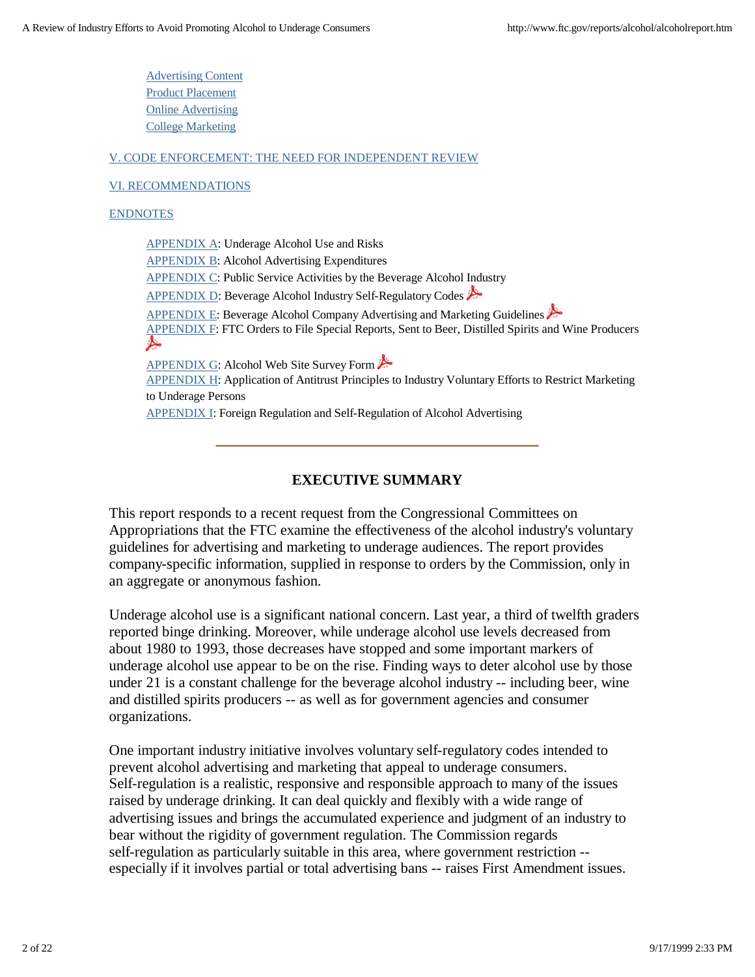Advertising Content Product Placement Online Advertising College Marketing

### V. CODE ENFORCEMENT: THE NEED FOR INDEPENDENT REVIEW

### VI. RECOMMENDATIONS

### ENDNOTES

APPENDIX A: Underage Alcohol Use and Risks APPENDIX B: Alcohol Advertising Expenditures APPENDIX C: Public Service Activities by the Beverage Alcohol Industry APPENDIX D: Beverage Alcohol Industry Self-Regulatory Codes APPENDIX E: Beverage Alcohol Company Advertising and Marketing Guidelines APPENDIX F: FTC Orders to File Special Reports, Sent to Beer, Distilled Spirits and Wine Producers ⊁ APPENDIX G: Alcohol Web Site Survey Form APPENDIX H: Application of Antitrust Principles to Industry Voluntary Efforts to Restrict Marketing to Underage Persons **APPENDIX I: Foreign Regulation and Self-Regulation of Alcohol Advertising** 

### **EXECUTIVE SUMMARY**

This report responds to a recent request from the Congressional Committees on Appropriations that the FTC examine the effectiveness of the alcohol industry's voluntary guidelines for advertising and marketing to underage audiences. The report provides company-specific information, supplied in response to orders by the Commission, only in an aggregate or anonymous fashion.

Underage alcohol use is a significant national concern. Last year, a third of twelfth graders reported binge drinking. Moreover, while underage alcohol use levels decreased from about 1980 to 1993, those decreases have stopped and some important markers of underage alcohol use appear to be on the rise. Finding ways to deter alcohol use by those under 21 is a constant challenge for the beverage alcohol industry -- including beer, wine and distilled spirits producers -- as well as for government agencies and consumer organizations.

One important industry initiative involves voluntary self-regulatory codes intended to prevent alcohol advertising and marketing that appeal to underage consumers. Self-regulation is a realistic, responsive and responsible approach to many of the issues raised by underage drinking. It can deal quickly and flexibly with a wide range of advertising issues and brings the accumulated experience and judgment of an industry to bear without the rigidity of government regulation. The Commission regards self-regulation as particularly suitable in this area, where government restriction - especially if it involves partial or total advertising bans -- raises First Amendment issues.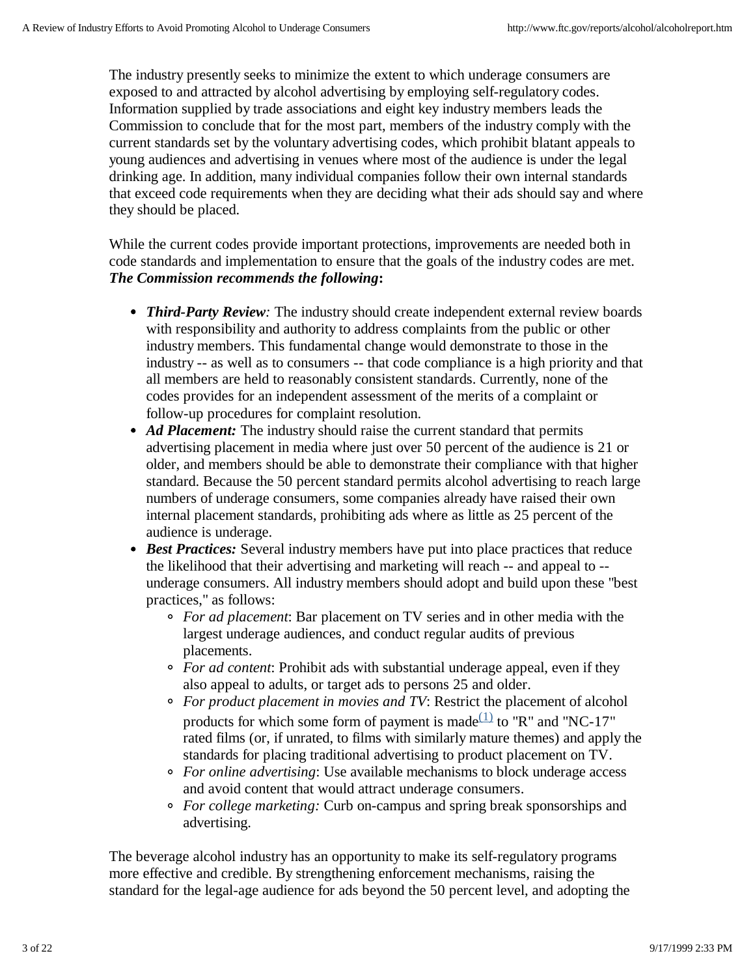The industry presently seeks to minimize the extent to which underage consumers are exposed to and attracted by alcohol advertising by employing self-regulatory codes. Information supplied by trade associations and eight key industry members leads the Commission to conclude that for the most part, members of the industry comply with the current standards set by the voluntary advertising codes, which prohibit blatant appeals to young audiences and advertising in venues where most of the audience is under the legal drinking age. In addition, many individual companies follow their own internal standards that exceed code requirements when they are deciding what their ads should say and where they should be placed.

While the current codes provide important protections, improvements are needed both in code standards and implementation to ensure that the goals of the industry codes are met. *The Commission recommends the following***:**

- *Third-Party Review:* The industry should create independent external review boards with responsibility and authority to address complaints from the public or other industry members. This fundamental change would demonstrate to those in the industry -- as well as to consumers -- that code compliance is a high priority and that all members are held to reasonably consistent standards. Currently, none of the codes provides for an independent assessment of the merits of a complaint or follow-up procedures for complaint resolution.
- Ad Placement: The industry should raise the current standard that permits advertising placement in media where just over 50 percent of the audience is 21 or older, and members should be able to demonstrate their compliance with that higher standard. Because the 50 percent standard permits alcohol advertising to reach large numbers of underage consumers, some companies already have raised their own internal placement standards, prohibiting ads where as little as 25 percent of the audience is underage.
- *Best Practices:* Several industry members have put into place practices that reduce the likelihood that their advertising and marketing will reach -- and appeal to - underage consumers. All industry members should adopt and build upon these "best practices," as follows:
	- *For ad placement*: Bar placement on TV series and in other media with the largest underage audiences, and conduct regular audits of previous placements.
	- *For ad content*: Prohibit ads with substantial underage appeal, even if they also appeal to adults, or target ads to persons 25 and older.
	- *For product placement in movies and TV*: Restrict the placement of alcohol products for which some form of payment is made $\frac{(1)}{(1)}$  to "R" and "NC-17" rated films (or, if unrated, to films with similarly mature themes) and apply the standards for placing traditional advertising to product placement on TV.
	- *For online advertising*: Use available mechanisms to block underage access and avoid content that would attract underage consumers.
	- *For college marketing:* Curb on-campus and spring break sponsorships and advertising.

The beverage alcohol industry has an opportunity to make its self-regulatory programs more effective and credible. By strengthening enforcement mechanisms, raising the standard for the legal-age audience for ads beyond the 50 percent level, and adopting the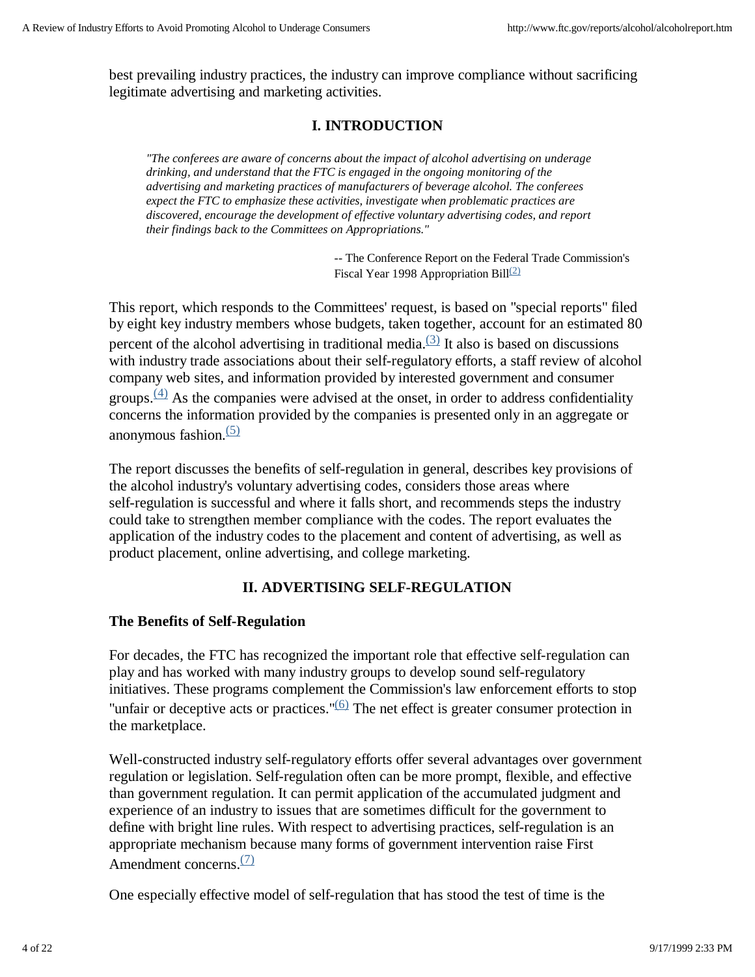best prevailing industry practices, the industry can improve compliance without sacrificing legitimate advertising and marketing activities.

# **I. INTRODUCTION**

*"The conferees are aware of concerns about the impact of alcohol advertising on underage drinking, and understand that the FTC is engaged in the ongoing monitoring of the advertising and marketing practices of manufacturers of beverage alcohol. The conferees expect the FTC to emphasize these activities, investigate when problematic practices are discovered, encourage the development of effective voluntary advertising codes, and report their findings back to the Committees on Appropriations."*

> -- The Conference Report on the Federal Trade Commission's Fiscal Year 1998 Appropriation Bill<sup>(2)</sup>

This report, which responds to the Committees' request, is based on "special reports" filed by eight key industry members whose budgets, taken together, account for an estimated 80 percent of the alcohol advertising in traditional media. $(3)$  It also is based on discussions with industry trade associations about their self-regulatory efforts, a staff review of alcohol company web sites, and information provided by interested government and consumer groups. $\frac{(4)}{4}$  As the companies were advised at the onset, in order to address confidentiality concerns the information provided by the companies is presented only in an aggregate or anonymous fashion. $(5)$ 

The report discusses the benefits of self-regulation in general, describes key provisions of the alcohol industry's voluntary advertising codes, considers those areas where self-regulation is successful and where it falls short, and recommends steps the industry could take to strengthen member compliance with the codes. The report evaluates the application of the industry codes to the placement and content of advertising, as well as product placement, online advertising, and college marketing.

## **II. ADVERTISING SELF-REGULATION**

### **The Benefits of Self-Regulation**

For decades, the FTC has recognized the important role that effective self-regulation can play and has worked with many industry groups to develop sound self-regulatory initiatives. These programs complement the Commission's law enforcement efforts to stop "unfair or deceptive acts or practices." $(6)$  The net effect is greater consumer protection in the marketplace.

Well-constructed industry self-regulatory efforts offer several advantages over government regulation or legislation. Self-regulation often can be more prompt, flexible, and effective than government regulation. It can permit application of the accumulated judgment and experience of an industry to issues that are sometimes difficult for the government to define with bright line rules. With respect to advertising practices, self-regulation is an appropriate mechanism because many forms of government intervention raise First Amendment concerns. $(7)$ 

One especially effective model of self-regulation that has stood the test of time is the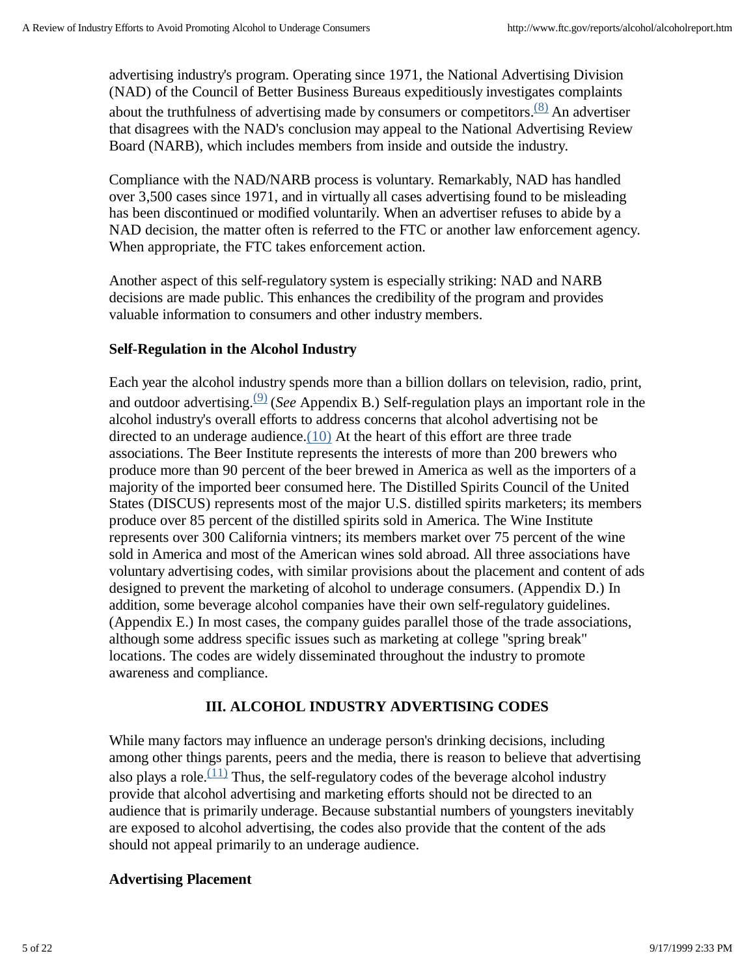advertising industry's program. Operating since 1971, the National Advertising Division (NAD) of the Council of Better Business Bureaus expeditiously investigates complaints about the truthfulness of advertising made by consumers or competitors. $(8)$  An advertiser that disagrees with the NAD's conclusion may appeal to the National Advertising Review Board (NARB), which includes members from inside and outside the industry.

Compliance with the NAD/NARB process is voluntary. Remarkably, NAD has handled over 3,500 cases since 1971, and in virtually all cases advertising found to be misleading has been discontinued or modified voluntarily. When an advertiser refuses to abide by a NAD decision, the matter often is referred to the FTC or another law enforcement agency. When appropriate, the FTC takes enforcement action.

Another aspect of this self-regulatory system is especially striking: NAD and NARB decisions are made public. This enhances the credibility of the program and provides valuable information to consumers and other industry members.

# **Self-Regulation in the Alcohol Industry**

Each year the alcohol industry spends more than a billion dollars on television, radio, print, and outdoor advertising.(9) (*See* Appendix B.) Self-regulation plays an important role in the alcohol industry's overall efforts to address concerns that alcohol advertising not be directed to an underage audience.(10) At the heart of this effort are three trade associations. The Beer Institute represents the interests of more than 200 brewers who produce more than 90 percent of the beer brewed in America as well as the importers of a majority of the imported beer consumed here. The Distilled Spirits Council of the United States (DISCUS) represents most of the major U.S. distilled spirits marketers; its members produce over 85 percent of the distilled spirits sold in America. The Wine Institute represents over 300 California vintners; its members market over 75 percent of the wine sold in America and most of the American wines sold abroad. All three associations have voluntary advertising codes, with similar provisions about the placement and content of ads designed to prevent the marketing of alcohol to underage consumers. (Appendix D.) In addition, some beverage alcohol companies have their own self-regulatory guidelines. (Appendix E.) In most cases, the company guides parallel those of the trade associations, although some address specific issues such as marketing at college "spring break" locations. The codes are widely disseminated throughout the industry to promote awareness and compliance.

# **III. ALCOHOL INDUSTRY ADVERTISING CODES**

While many factors may influence an underage person's drinking decisions, including among other things parents, peers and the media, there is reason to believe that advertising also plays a role.<sup> $(11)$ </sup> Thus, the self-regulatory codes of the beverage alcohol industry provide that alcohol advertising and marketing efforts should not be directed to an audience that is primarily underage. Because substantial numbers of youngsters inevitably are exposed to alcohol advertising, the codes also provide that the content of the ads should not appeal primarily to an underage audience.

# **Advertising Placement**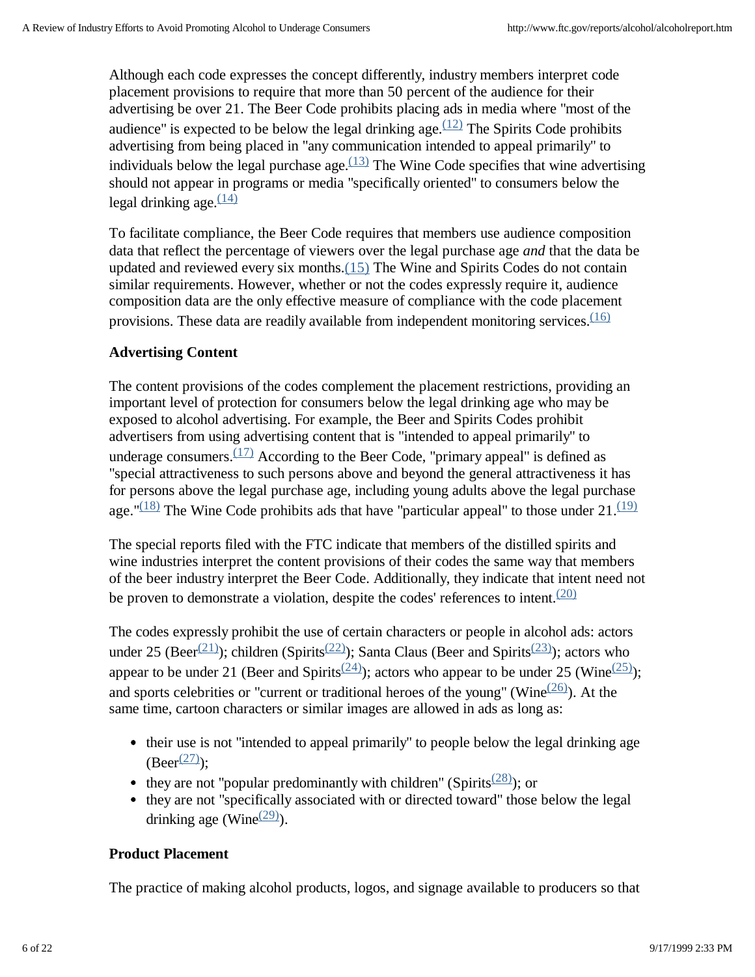Although each code expresses the concept differently, industry members interpret code placement provisions to require that more than 50 percent of the audience for their advertising be over 21. The Beer Code prohibits placing ads in media where "most of the audience" is expected to be below the legal drinking age.  $(12)$  The Spirits Code prohibits advertising from being placed in "any communication intended to appeal primarily" to individuals below the legal purchase age.  $(13)$  The Wine Code specifies that wine advertising should not appear in programs or media "specifically oriented" to consumers below the legal drinking age.  $\frac{(14)}{2}$ 

To facilitate compliance, the Beer Code requires that members use audience composition data that reflect the percentage of viewers over the legal purchase age *and* that the data be updated and reviewed every six months.(15) The Wine and Spirits Codes do not contain similar requirements. However, whether or not the codes expressly require it, audience composition data are the only effective measure of compliance with the code placement provisions. These data are readily available from independent monitoring services. $\frac{(16)}{2}$ 

# **Advertising Content**

The content provisions of the codes complement the placement restrictions, providing an important level of protection for consumers below the legal drinking age who may be exposed to alcohol advertising. For example, the Beer and Spirits Codes prohibit advertisers from using advertising content that is "intended to appeal primarily" to underage consumers.  $(17)$  According to the Beer Code, "primary appeal" is defined as "special attractiveness to such persons above and beyond the general attractiveness it has for persons above the legal purchase age, including young adults above the legal purchase age." $\frac{(18)}{(18)}$  The Wine Code prohibits ads that have "particular appeal" to those under 21. $\frac{(19)}{(19)}$ 

The special reports filed with the FTC indicate that members of the distilled spirits and wine industries interpret the content provisions of their codes the same way that members of the beer industry interpret the Beer Code. Additionally, they indicate that intent need not be proven to demonstrate a violation, despite the codes' references to intent. $(20)$ 

The codes expressly prohibit the use of certain characters or people in alcohol ads: actors under 25 (Beer<sup>(21)</sup>); children (Spirits<sup>(22)</sup>); Santa Claus (Beer and Spirits<sup>(23)</sup>); actors who appear to be under 21 (Beer and Spirits<sup>(24)</sup>); actors who appear to be under 25 (Wine<sup>(25)</sup>); and sports celebrities or "current or traditional heroes of the young" (Wine $(26)$ ). At the same time, cartoon characters or similar images are allowed in ads as long as:

- their use is not "intended to appeal primarily" to people below the legal drinking age  $(Beer^{(27)})$ :
- they are not "popular predominantly with children" (Spirits<sup> $(28)$ </sup>); or
- they are not "specifically associated with or directed toward" those below the legal drinking age (Wine $(29)$ ).

## **Product Placement**

The practice of making alcohol products, logos, and signage available to producers so that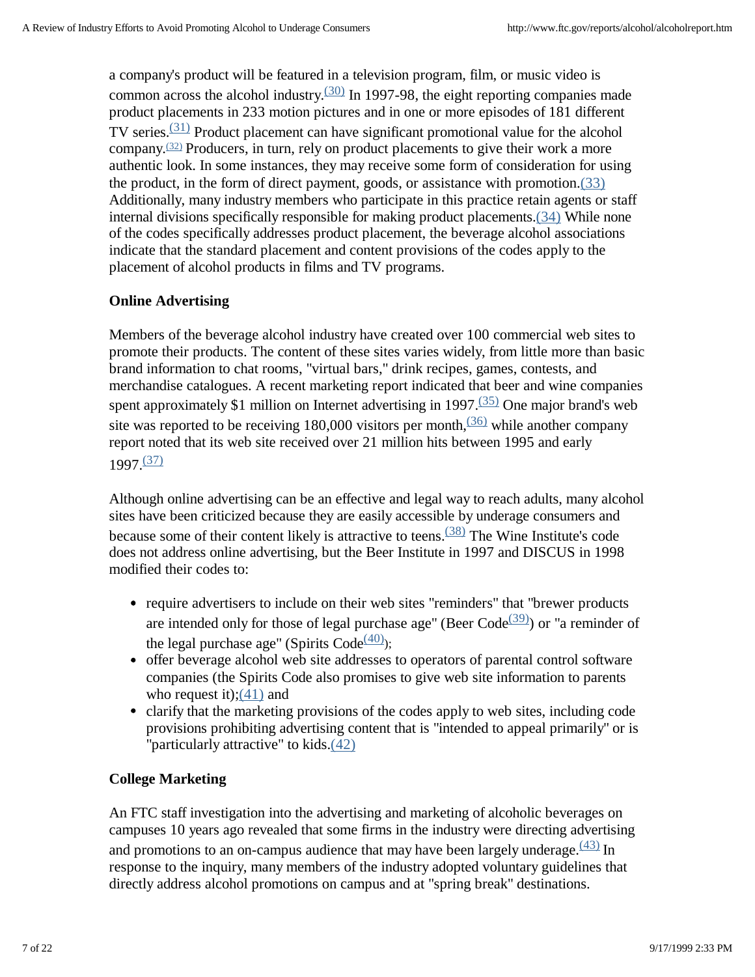a company's product will be featured in a television program, film, or music video is common across the alcohol industry. $\frac{(30)}{2}$  In 1997-98, the eight reporting companies made product placements in 233 motion pictures and in one or more episodes of 181 different TV series.<sup>(31)</sup> Product placement can have significant promotional value for the alcohol company.<sup> $(32)$ </sup> Producers, in turn, rely on product placements to give their work a more authentic look. In some instances, they may receive some form of consideration for using the product, in the form of direct payment, goods, or assistance with promotion.(33) Additionally, many industry members who participate in this practice retain agents or staff internal divisions specifically responsible for making product placements.(34) While none of the codes specifically addresses product placement, the beverage alcohol associations indicate that the standard placement and content provisions of the codes apply to the placement of alcohol products in films and TV programs.

## **Online Advertising**

Members of the beverage alcohol industry have created over 100 commercial web sites to promote their products. The content of these sites varies widely, from little more than basic brand information to chat rooms, "virtual bars," drink recipes, games, contests, and merchandise catalogues. A recent marketing report indicated that beer and wine companies spent approximately \$1 million on Internet advertising in 1997. $\frac{(35)}{35}$  One major brand's web site was reported to be receiving 180,000 visitors per month,  $\frac{(36)}{(36)}$  while another company report noted that its web site received over 21 million hits between 1995 and early 1997.(37)

Although online advertising can be an effective and legal way to reach adults, many alcohol sites have been criticized because they are easily accessible by underage consumers and because some of their content likely is attractive to teens.<sup> $(38)$ </sup> The Wine Institute's code does not address online advertising, but the Beer Institute in 1997 and DISCUS in 1998 modified their codes to:

- require advertisers to include on their web sites "reminders" that "brewer products are intended only for those of legal purchase age" (Beer Code $(39)$ ) or "a reminder of the legal purchase age" (Spirits  $Code^{(40)}$ );
- offer beverage alcohol web site addresses to operators of parental control software companies (the Spirits Code also promises to give web site information to parents who request it); $(41)$  and
- clarify that the marketing provisions of the codes apply to web sites, including code provisions prohibiting advertising content that is "intended to appeal primarily" or is "particularly attractive" to kids.(42)

### **College Marketing**

An FTC staff investigation into the advertising and marketing of alcoholic beverages on campuses 10 years ago revealed that some firms in the industry were directing advertising and promotions to an on-campus audience that may have been largely underage.  $\frac{(43)}{1}$  In response to the inquiry, many members of the industry adopted voluntary guidelines that directly address alcohol promotions on campus and at "spring break" destinations.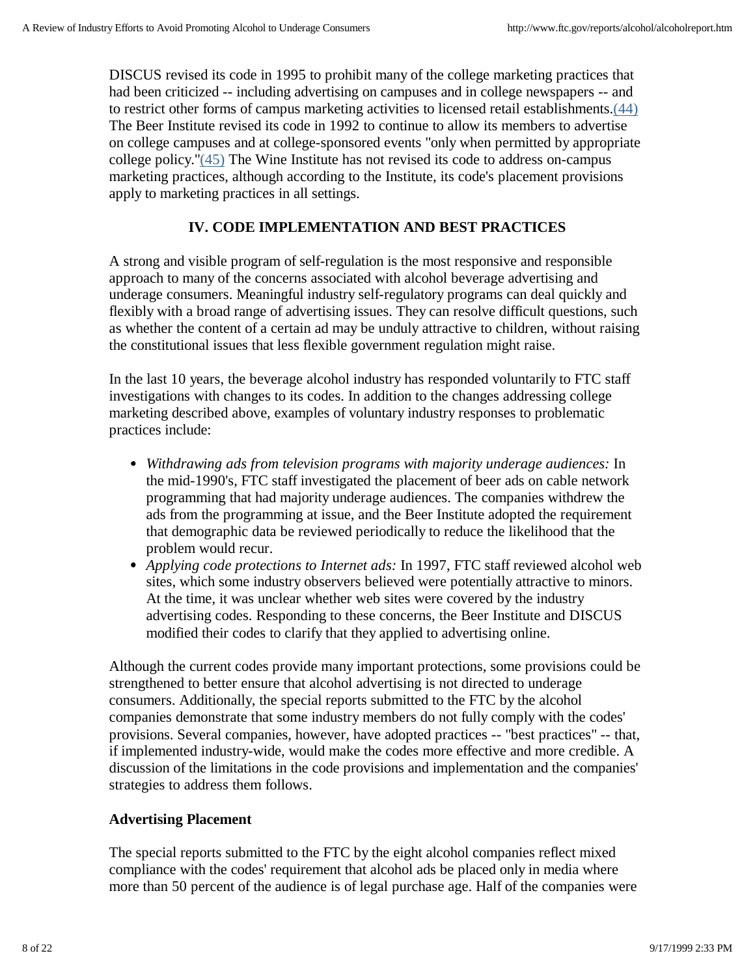DISCUS revised its code in 1995 to prohibit many of the college marketing practices that had been criticized -- including advertising on campuses and in college newspapers -- and to restrict other forms of campus marketing activities to licensed retail establishments.(44) The Beer Institute revised its code in 1992 to continue to allow its members to advertise on college campuses and at college-sponsored events "only when permitted by appropriate college policy."(45) The Wine Institute has not revised its code to address on-campus marketing practices, although according to the Institute, its code's placement provisions apply to marketing practices in all settings.

# **IV. CODE IMPLEMENTATION AND BEST PRACTICES**

A strong and visible program of self-regulation is the most responsive and responsible approach to many of the concerns associated with alcohol beverage advertising and underage consumers. Meaningful industry self-regulatory programs can deal quickly and flexibly with a broad range of advertising issues. They can resolve difficult questions, such as whether the content of a certain ad may be unduly attractive to children, without raising the constitutional issues that less flexible government regulation might raise.

In the last 10 years, the beverage alcohol industry has responded voluntarily to FTC staff investigations with changes to its codes. In addition to the changes addressing college marketing described above, examples of voluntary industry responses to problematic practices include:

- *Withdrawing ads from television programs with majority underage audiences:* In the mid-1990's, FTC staff investigated the placement of beer ads on cable network programming that had majority underage audiences. The companies withdrew the ads from the programming at issue, and the Beer Institute adopted the requirement that demographic data be reviewed periodically to reduce the likelihood that the problem would recur.
- *Applying code protections to Internet ads:* In 1997, FTC staff reviewed alcohol web sites, which some industry observers believed were potentially attractive to minors. At the time, it was unclear whether web sites were covered by the industry advertising codes. Responding to these concerns, the Beer Institute and DISCUS modified their codes to clarify that they applied to advertising online.

Although the current codes provide many important protections, some provisions could be strengthened to better ensure that alcohol advertising is not directed to underage consumers. Additionally, the special reports submitted to the FTC by the alcohol companies demonstrate that some industry members do not fully comply with the codes' provisions. Several companies, however, have adopted practices -- "best practices" -- that, if implemented industry-wide, would make the codes more effective and more credible. A discussion of the limitations in the code provisions and implementation and the companies' strategies to address them follows.

# **Advertising Placement**

The special reports submitted to the FTC by the eight alcohol companies reflect mixed compliance with the codes' requirement that alcohol ads be placed only in media where more than 50 percent of the audience is of legal purchase age. Half of the companies were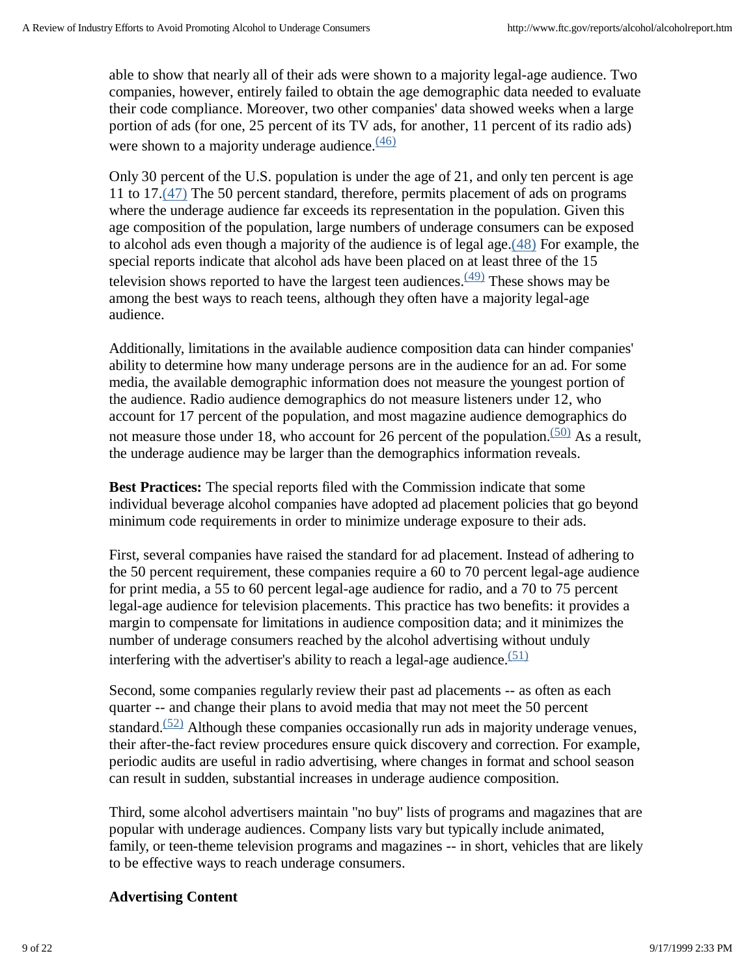able to show that nearly all of their ads were shown to a majority legal-age audience. Two companies, however, entirely failed to obtain the age demographic data needed to evaluate their code compliance. Moreover, two other companies' data showed weeks when a large portion of ads (for one, 25 percent of its TV ads, for another, 11 percent of its radio ads) were shown to a majority underage audience. $\frac{(46)}{6}$ 

Only 30 percent of the U.S. population is under the age of 21, and only ten percent is age 11 to 17.(47) The 50 percent standard, therefore, permits placement of ads on programs where the underage audience far exceeds its representation in the population. Given this age composition of the population, large numbers of underage consumers can be exposed to alcohol ads even though a majority of the audience is of legal age. $(48)$  For example, the special reports indicate that alcohol ads have been placed on at least three of the 15 television shows reported to have the largest teen audiences.  $(49)$  These shows may be among the best ways to reach teens, although they often have a majority legal-age audience.

Additionally, limitations in the available audience composition data can hinder companies' ability to determine how many underage persons are in the audience for an ad. For some media, the available demographic information does not measure the youngest portion of the audience. Radio audience demographics do not measure listeners under 12, who account for 17 percent of the population, and most magazine audience demographics do not measure those under 18, who account for 26 percent of the population. $(50)$  As a result, the underage audience may be larger than the demographics information reveals.

**Best Practices:** The special reports filed with the Commission indicate that some individual beverage alcohol companies have adopted ad placement policies that go beyond minimum code requirements in order to minimize underage exposure to their ads.

First, several companies have raised the standard for ad placement. Instead of adhering to the 50 percent requirement, these companies require a 60 to 70 percent legal-age audience for print media, a 55 to 60 percent legal-age audience for radio, and a 70 to 75 percent legal-age audience for television placements. This practice has two benefits: it provides a margin to compensate for limitations in audience composition data; and it minimizes the number of underage consumers reached by the alcohol advertising without unduly interfering with the advertiser's ability to reach a legal-age audience.  $(51)$ 

Second, some companies regularly review their past ad placements -- as often as each quarter -- and change their plans to avoid media that may not meet the 50 percent standard.<sup> $(52)$ </sup> Although these companies occasionally run ads in majority underage venues, their after-the-fact review procedures ensure quick discovery and correction. For example, periodic audits are useful in radio advertising, where changes in format and school season can result in sudden, substantial increases in underage audience composition.

Third, some alcohol advertisers maintain "no buy" lists of programs and magazines that are popular with underage audiences. Company lists vary but typically include animated, family, or teen-theme television programs and magazines -- in short, vehicles that are likely to be effective ways to reach underage consumers.

# **Advertising Content**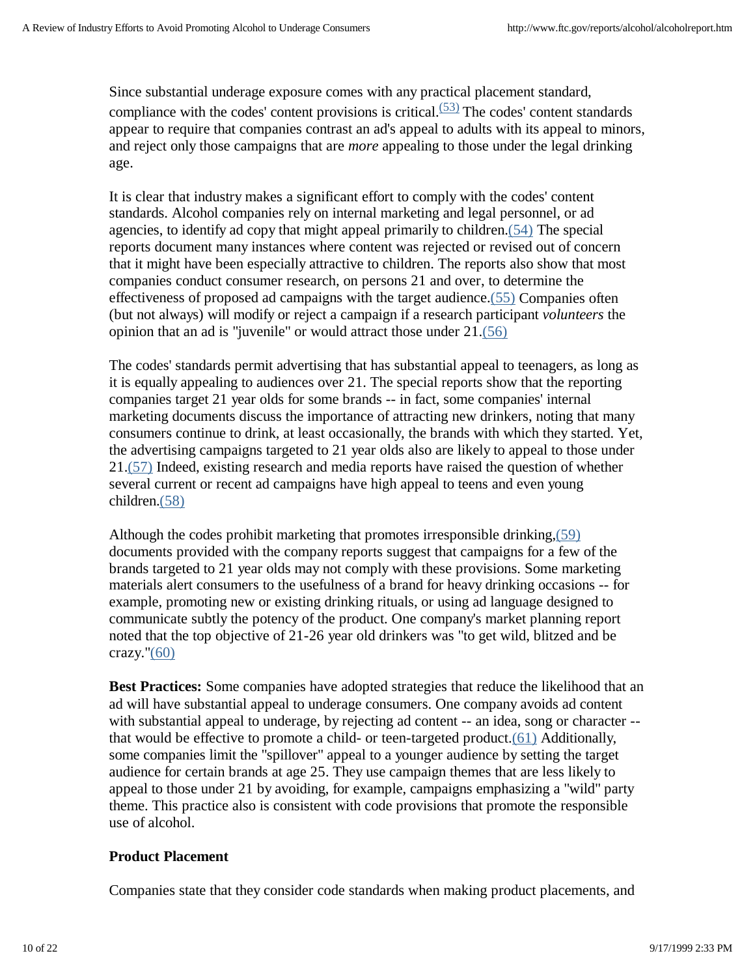Since substantial underage exposure comes with any practical placement standard, compliance with the codes' content provisions is critical. $(53)$  The codes' content standards appear to require that companies contrast an ad's appeal to adults with its appeal to minors, and reject only those campaigns that are *more* appealing to those under the legal drinking age.

It is clear that industry makes a significant effort to comply with the codes' content standards. Alcohol companies rely on internal marketing and legal personnel, or ad agencies, to identify ad copy that might appeal primarily to children.(54) The special reports document many instances where content was rejected or revised out of concern that it might have been especially attractive to children. The reports also show that most companies conduct consumer research, on persons 21 and over, to determine the effectiveness of proposed ad campaigns with the target audience.(55) Companies often (but not always) will modify or reject a campaign if a research participant *volunteers* the opinion that an ad is "juvenile" or would attract those under 21.(56)

The codes' standards permit advertising that has substantial appeal to teenagers, as long as it is equally appealing to audiences over 21. The special reports show that the reporting companies target 21 year olds for some brands -- in fact, some companies' internal marketing documents discuss the importance of attracting new drinkers, noting that many consumers continue to drink, at least occasionally, the brands with which they started. Yet, the advertising campaigns targeted to 21 year olds also are likely to appeal to those under 21.(57) Indeed, existing research and media reports have raised the question of whether several current or recent ad campaigns have high appeal to teens and even young children.(58)

Although the codes prohibit marketing that promotes irresponsible drinking,(59) documents provided with the company reports suggest that campaigns for a few of the brands targeted to 21 year olds may not comply with these provisions. Some marketing materials alert consumers to the usefulness of a brand for heavy drinking occasions -- for example, promoting new or existing drinking rituals, or using ad language designed to communicate subtly the potency of the product. One company's market planning report noted that the top objective of 21-26 year old drinkers was "to get wild, blitzed and be crazy."(60)

**Best Practices:** Some companies have adopted strategies that reduce the likelihood that an ad will have substantial appeal to underage consumers. One company avoids ad content with substantial appeal to underage, by rejecting ad content -- an idea, song or character -that would be effective to promote a child- or teen-targeted product.(61) Additionally, some companies limit the "spillover" appeal to a younger audience by setting the target audience for certain brands at age 25. They use campaign themes that are less likely to appeal to those under 21 by avoiding, for example, campaigns emphasizing a "wild" party theme. This practice also is consistent with code provisions that promote the responsible use of alcohol.

### **Product Placement**

Companies state that they consider code standards when making product placements, and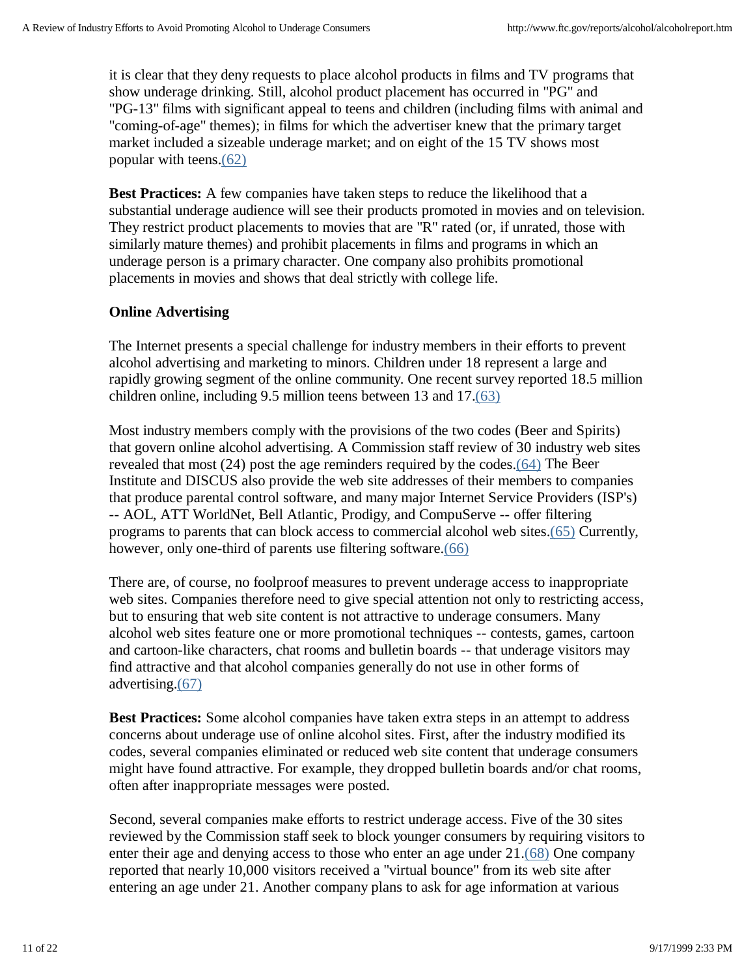it is clear that they deny requests to place alcohol products in films and TV programs that show underage drinking. Still, alcohol product placement has occurred in "PG" and "PG-13" films with significant appeal to teens and children (including films with animal and "coming-of-age" themes); in films for which the advertiser knew that the primary target market included a sizeable underage market; and on eight of the 15 TV shows most popular with teens.(62)

**Best Practices:** A few companies have taken steps to reduce the likelihood that a substantial underage audience will see their products promoted in movies and on television. They restrict product placements to movies that are "R" rated (or, if unrated, those with similarly mature themes) and prohibit placements in films and programs in which an underage person is a primary character. One company also prohibits promotional placements in movies and shows that deal strictly with college life.

## **Online Advertising**

The Internet presents a special challenge for industry members in their efforts to prevent alcohol advertising and marketing to minors. Children under 18 represent a large and rapidly growing segment of the online community. One recent survey reported 18.5 million children online, including 9.5 million teens between 13 and 17.(63)

Most industry members comply with the provisions of the two codes (Beer and Spirits) that govern online alcohol advertising. A Commission staff review of 30 industry web sites revealed that most (24) post the age reminders required by the codes.(64) The Beer Institute and DISCUS also provide the web site addresses of their members to companies that produce parental control software, and many major Internet Service Providers (ISP's) -- AOL, ATT WorldNet, Bell Atlantic, Prodigy, and CompuServe -- offer filtering programs to parents that can block access to commercial alcohol web sites.(65) Currently, however, only one-third of parents use filtering software.(66)

There are, of course, no foolproof measures to prevent underage access to inappropriate web sites. Companies therefore need to give special attention not only to restricting access, but to ensuring that web site content is not attractive to underage consumers. Many alcohol web sites feature one or more promotional techniques -- contests, games, cartoon and cartoon-like characters, chat rooms and bulletin boards -- that underage visitors may find attractive and that alcohol companies generally do not use in other forms of advertising.(67)

**Best Practices:** Some alcohol companies have taken extra steps in an attempt to address concerns about underage use of online alcohol sites. First, after the industry modified its codes, several companies eliminated or reduced web site content that underage consumers might have found attractive. For example, they dropped bulletin boards and/or chat rooms, often after inappropriate messages were posted.

Second, several companies make efforts to restrict underage access. Five of the 30 sites reviewed by the Commission staff seek to block younger consumers by requiring visitors to enter their age and denying access to those who enter an age under 21.(68) One company reported that nearly 10,000 visitors received a "virtual bounce" from its web site after entering an age under 21. Another company plans to ask for age information at various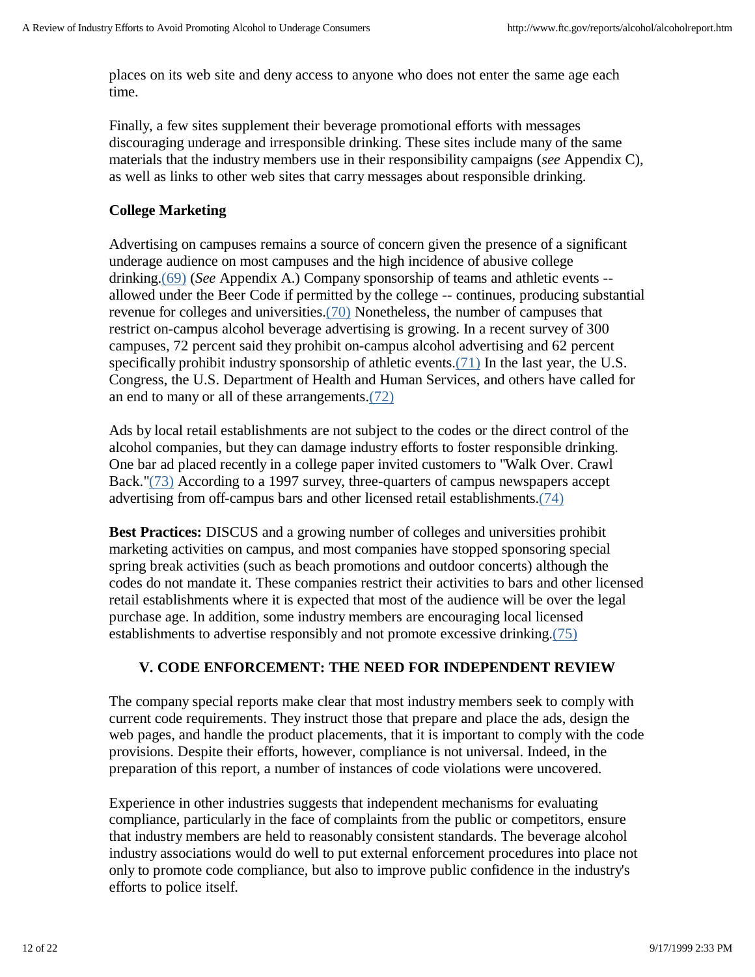places on its web site and deny access to anyone who does not enter the same age each time.

Finally, a few sites supplement their beverage promotional efforts with messages discouraging underage and irresponsible drinking. These sites include many of the same materials that the industry members use in their responsibility campaigns (*see* Appendix C), as well as links to other web sites that carry messages about responsible drinking.

# **College Marketing**

Advertising on campuses remains a source of concern given the presence of a significant underage audience on most campuses and the high incidence of abusive college drinking.(69) (*See* Appendix A.) Company sponsorship of teams and athletic events - allowed under the Beer Code if permitted by the college -- continues, producing substantial revenue for colleges and universities.(70) Nonetheless, the number of campuses that restrict on-campus alcohol beverage advertising is growing. In a recent survey of 300 campuses, 72 percent said they prohibit on-campus alcohol advertising and 62 percent specifically prohibit industry sponsorship of athletic events.(71) In the last year, the U.S. Congress, the U.S. Department of Health and Human Services, and others have called for an end to many or all of these arrangements.(72)

Ads by local retail establishments are not subject to the codes or the direct control of the alcohol companies, but they can damage industry efforts to foster responsible drinking. One bar ad placed recently in a college paper invited customers to "Walk Over. Crawl Back."(73) According to a 1997 survey, three-quarters of campus newspapers accept advertising from off-campus bars and other licensed retail establishments.(74)

**Best Practices:** DISCUS and a growing number of colleges and universities prohibit marketing activities on campus, and most companies have stopped sponsoring special spring break activities (such as beach promotions and outdoor concerts) although the codes do not mandate it. These companies restrict their activities to bars and other licensed retail establishments where it is expected that most of the audience will be over the legal purchase age. In addition, some industry members are encouraging local licensed establishments to advertise responsibly and not promote excessive drinking.(75)

# **V. CODE ENFORCEMENT: THE NEED FOR INDEPENDENT REVIEW**

The company special reports make clear that most industry members seek to comply with current code requirements. They instruct those that prepare and place the ads, design the web pages, and handle the product placements, that it is important to comply with the code provisions. Despite their efforts, however, compliance is not universal. Indeed, in the preparation of this report, a number of instances of code violations were uncovered.

Experience in other industries suggests that independent mechanisms for evaluating compliance, particularly in the face of complaints from the public or competitors, ensure that industry members are held to reasonably consistent standards. The beverage alcohol industry associations would do well to put external enforcement procedures into place not only to promote code compliance, but also to improve public confidence in the industry's efforts to police itself.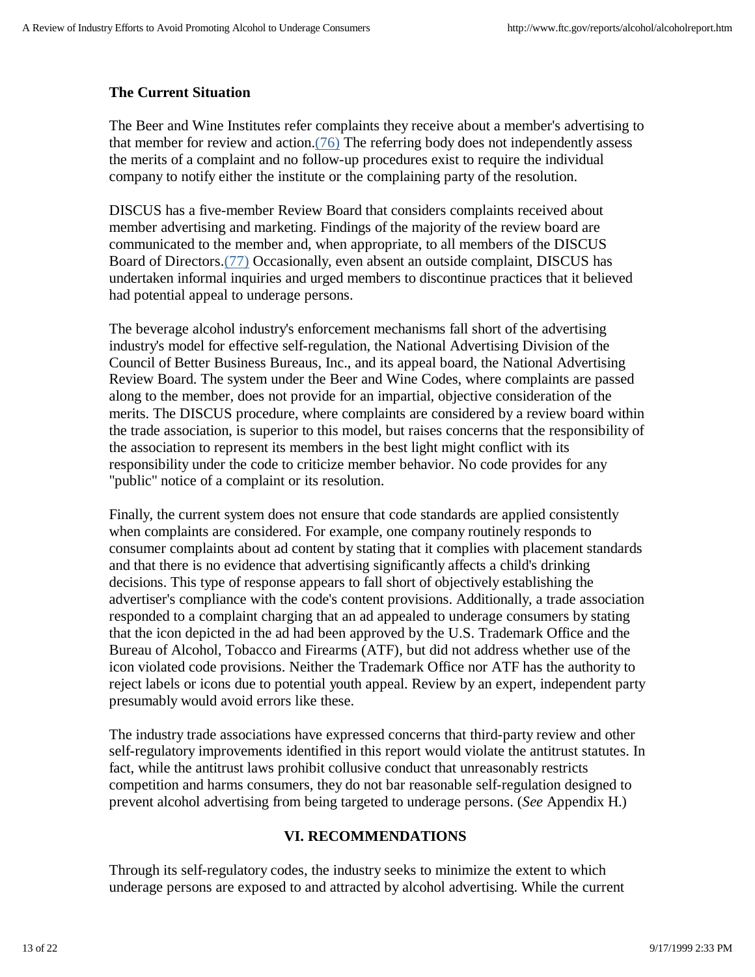## **The Current Situation**

The Beer and Wine Institutes refer complaints they receive about a member's advertising to that member for review and action. $(76)$  The referring body does not independently assess the merits of a complaint and no follow-up procedures exist to require the individual company to notify either the institute or the complaining party of the resolution.

DISCUS has a five-member Review Board that considers complaints received about member advertising and marketing. Findings of the majority of the review board are communicated to the member and, when appropriate, to all members of the DISCUS Board of Directors.(77) Occasionally, even absent an outside complaint, DISCUS has undertaken informal inquiries and urged members to discontinue practices that it believed had potential appeal to underage persons.

The beverage alcohol industry's enforcement mechanisms fall short of the advertising industry's model for effective self-regulation, the National Advertising Division of the Council of Better Business Bureaus, Inc., and its appeal board, the National Advertising Review Board. The system under the Beer and Wine Codes, where complaints are passed along to the member, does not provide for an impartial, objective consideration of the merits. The DISCUS procedure, where complaints are considered by a review board within the trade association, is superior to this model, but raises concerns that the responsibility of the association to represent its members in the best light might conflict with its responsibility under the code to criticize member behavior. No code provides for any "public" notice of a complaint or its resolution.

Finally, the current system does not ensure that code standards are applied consistently when complaints are considered. For example, one company routinely responds to consumer complaints about ad content by stating that it complies with placement standards and that there is no evidence that advertising significantly affects a child's drinking decisions. This type of response appears to fall short of objectively establishing the advertiser's compliance with the code's content provisions. Additionally, a trade association responded to a complaint charging that an ad appealed to underage consumers by stating that the icon depicted in the ad had been approved by the U.S. Trademark Office and the Bureau of Alcohol, Tobacco and Firearms (ATF), but did not address whether use of the icon violated code provisions. Neither the Trademark Office nor ATF has the authority to reject labels or icons due to potential youth appeal. Review by an expert, independent party presumably would avoid errors like these.

The industry trade associations have expressed concerns that third-party review and other self-regulatory improvements identified in this report would violate the antitrust statutes. In fact, while the antitrust laws prohibit collusive conduct that unreasonably restricts competition and harms consumers, they do not bar reasonable self-regulation designed to prevent alcohol advertising from being targeted to underage persons. (*See* Appendix H.)

### **VI. RECOMMENDATIONS**

Through its self-regulatory codes, the industry seeks to minimize the extent to which underage persons are exposed to and attracted by alcohol advertising. While the current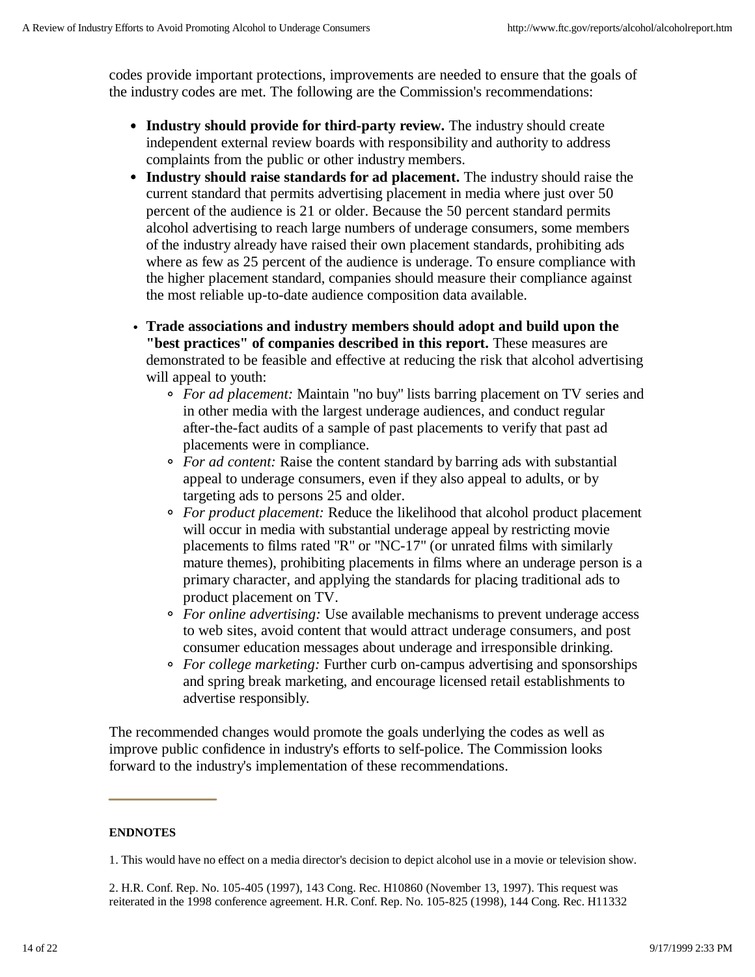codes provide important protections, improvements are needed to ensure that the goals of the industry codes are met. The following are the Commission's recommendations:

- **Industry should provide for third-party review.** The industry should create independent external review boards with responsibility and authority to address complaints from the public or other industry members.
- **Industry should raise standards for ad placement.** The industry should raise the current standard that permits advertising placement in media where just over 50 percent of the audience is 21 or older. Because the 50 percent standard permits alcohol advertising to reach large numbers of underage consumers, some members of the industry already have raised their own placement standards, prohibiting ads where as few as 25 percent of the audience is underage. To ensure compliance with the higher placement standard, companies should measure their compliance against the most reliable up-to-date audience composition data available.
- **Trade associations and industry members should adopt and build upon the "best practices" of companies described in this report.** These measures are demonstrated to be feasible and effective at reducing the risk that alcohol advertising will appeal to youth:
	- *For ad placement:* Maintain "no buy" lists barring placement on TV series and in other media with the largest underage audiences, and conduct regular after-the-fact audits of a sample of past placements to verify that past ad placements were in compliance.
	- *For ad content:* Raise the content standard by barring ads with substantial appeal to underage consumers, even if they also appeal to adults, or by targeting ads to persons 25 and older.
	- *For product placement:* Reduce the likelihood that alcohol product placement will occur in media with substantial underage appeal by restricting movie placements to films rated "R" or "NC-17" (or unrated films with similarly mature themes), prohibiting placements in films where an underage person is a primary character, and applying the standards for placing traditional ads to product placement on TV.
	- *For online advertising:* Use available mechanisms to prevent underage access to web sites, avoid content that would attract underage consumers, and post consumer education messages about underage and irresponsible drinking.
	- *For college marketing:* Further curb on-campus advertising and sponsorships and spring break marketing, and encourage licensed retail establishments to advertise responsibly.

The recommended changes would promote the goals underlying the codes as well as improve public confidence in industry's efforts to self-police. The Commission looks forward to the industry's implementation of these recommendations.

### **ENDNOTES**

1. This would have no effect on a media director's decision to depict alcohol use in a movie or television show.

2. H.R. Conf. Rep. No. 105-405 (1997), 143 Cong. Rec. H10860 (November 13, 1997). This request was reiterated in the 1998 conference agreement. H.R. Conf. Rep. No. 105-825 (1998), 144 Cong. Rec. H11332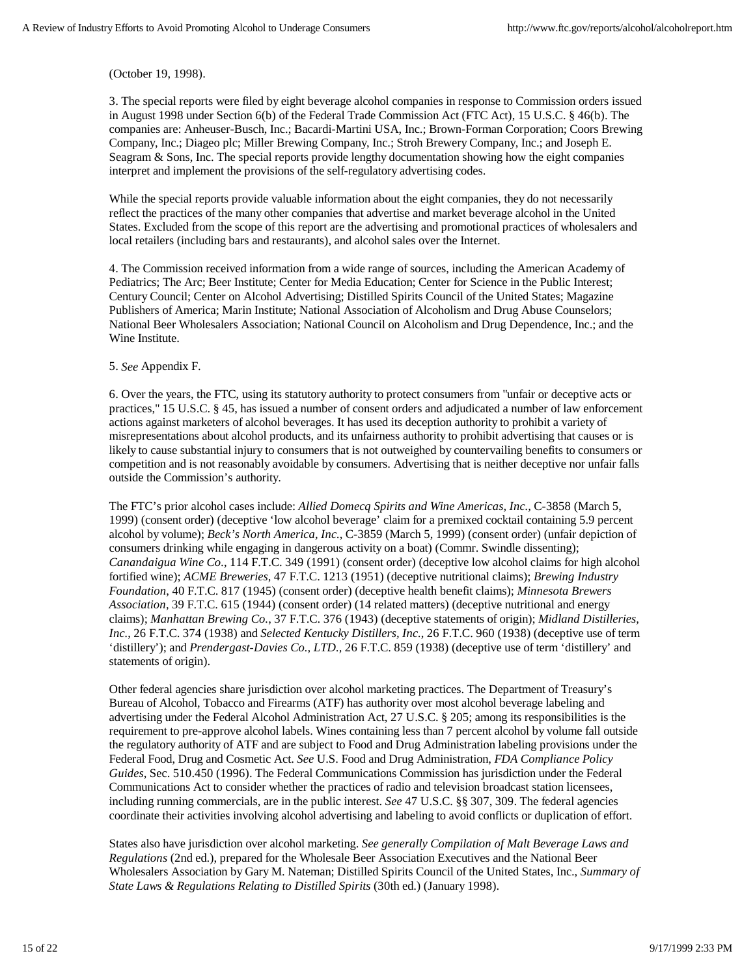(October 19, 1998).

3. The special reports were filed by eight beverage alcohol companies in response to Commission orders issued in August 1998 under Section 6(b) of the Federal Trade Commission Act (FTC Act), 15 U.S.C. § 46(b). The companies are: Anheuser-Busch, Inc.; Bacardi-Martini USA, Inc.; Brown-Forman Corporation; Coors Brewing Company, Inc.; Diageo plc; Miller Brewing Company, Inc.; Stroh Brewery Company, Inc.; and Joseph E. Seagram & Sons, Inc. The special reports provide lengthy documentation showing how the eight companies interpret and implement the provisions of the self-regulatory advertising codes.

While the special reports provide valuable information about the eight companies, they do not necessarily reflect the practices of the many other companies that advertise and market beverage alcohol in the United States. Excluded from the scope of this report are the advertising and promotional practices of wholesalers and local retailers (including bars and restaurants), and alcohol sales over the Internet.

4. The Commission received information from a wide range of sources, including the American Academy of Pediatrics; The Arc; Beer Institute; Center for Media Education; Center for Science in the Public Interest; Century Council; Center on Alcohol Advertising; Distilled Spirits Council of the United States; Magazine Publishers of America; Marin Institute; National Association of Alcoholism and Drug Abuse Counselors; National Beer Wholesalers Association; National Council on Alcoholism and Drug Dependence, Inc.; and the Wine Institute.

#### 5. *See* Appendix F.

6. Over the years, the FTC, using its statutory authority to protect consumers from "unfair or deceptive acts or practices," 15 U.S.C. § 45, has issued a number of consent orders and adjudicated a number of law enforcement actions against marketers of alcohol beverages. It has used its deception authority to prohibit a variety of misrepresentations about alcohol products, and its unfairness authority to prohibit advertising that causes or is likely to cause substantial injury to consumers that is not outweighed by countervailing benefits to consumers or competition and is not reasonably avoidable by consumers. Advertising that is neither deceptive nor unfair falls outside the Commission's authority.

The FTC's prior alcohol cases include: *Allied Domecq Spirits and Wine Americas, Inc.,* C-3858 (March 5, 1999) (consent order) (deceptive 'low alcohol beverage' claim for a premixed cocktail containing 5.9 percent alcohol by volume); *Beck's North America, Inc.*, C-3859 (March 5, 1999) (consent order) (unfair depiction of consumers drinking while engaging in dangerous activity on a boat) (Commr. Swindle dissenting); *Canandaigua Wine Co.*, 114 F.T.C. 349 (1991) (consent order) (deceptive low alcohol claims for high alcohol fortified wine); *ACME Breweries*, 47 F.T.C. 1213 (1951) (deceptive nutritional claims); *Brewing Industry Foundation*, 40 F.T.C. 817 (1945) (consent order) (deceptive health benefit claims); *Minnesota Brewers Association*, 39 F.T.C. 615 (1944) (consent order) (14 related matters) (deceptive nutritional and energy claims); *Manhattan Brewing Co.*, 37 F.T.C. 376 (1943) (deceptive statements of origin); *Midland Distilleries, Inc.*, 26 F.T.C. 374 (1938) and *Selected Kentucky Distillers, Inc.*, 26 F.T.C. 960 (1938) (deceptive use of term 'distillery'); and *Prendergast-Davies Co., LTD.,* 26 F.T.C. 859 (1938) (deceptive use of term 'distillery' and statements of origin).

Other federal agencies share jurisdiction over alcohol marketing practices. The Department of Treasury's Bureau of Alcohol, Tobacco and Firearms (ATF) has authority over most alcohol beverage labeling and advertising under the Federal Alcohol Administration Act, 27 U.S.C. § 205; among its responsibilities is the requirement to pre-approve alcohol labels. Wines containing less than 7 percent alcohol by volume fall outside the regulatory authority of ATF and are subject to Food and Drug Administration labeling provisions under the Federal Food, Drug and Cosmetic Act. *See* U.S. Food and Drug Administration, *FDA Compliance Policy Guides*, Sec. 510.450 (1996). The Federal Communications Commission has jurisdiction under the Federal Communications Act to consider whether the practices of radio and television broadcast station licensees, including running commercials, are in the public interest. *See* 47 U.S.C. §§ 307, 309. The federal agencies coordinate their activities involving alcohol advertising and labeling to avoid conflicts or duplication of effort.

States also have jurisdiction over alcohol marketing. *See generally Compilation of Malt Beverage Laws and Regulations* (2nd ed.), prepared for the Wholesale Beer Association Executives and the National Beer Wholesalers Association by Gary M. Nateman; Distilled Spirits Council of the United States, Inc., *Summary of State Laws & Regulations Relating to Distilled Spirits* (30th ed.) (January 1998).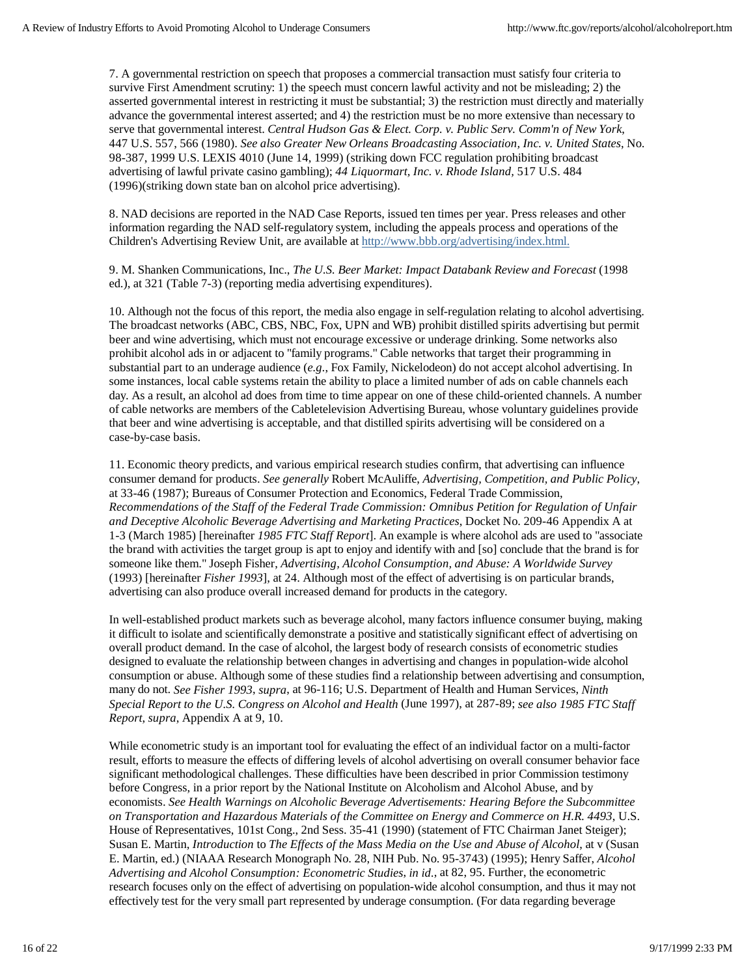7. A governmental restriction on speech that proposes a commercial transaction must satisfy four criteria to survive First Amendment scrutiny: 1) the speech must concern lawful activity and not be misleading; 2) the asserted governmental interest in restricting it must be substantial; 3) the restriction must directly and materially advance the governmental interest asserted; and 4) the restriction must be no more extensive than necessary to serve that governmental interest. *Central Hudson Gas & Elect. Corp. v. Public Serv. Comm'n of New York*, 447 U.S. 557, 566 (1980). *See also Greater New Orleans Broadcasting Association, Inc. v. United States*, No. 98-387, 1999 U.S. LEXIS 4010 (June 14, 1999) (striking down FCC regulation prohibiting broadcast advertising of lawful private casino gambling); *44 Liquormart, Inc. v. Rhode Island,* 517 U.S. 484 (1996)(striking down state ban on alcohol price advertising).

8. NAD decisions are reported in the NAD Case Reports, issued ten times per year. Press releases and other information regarding the NAD self-regulatory system, including the appeals process and operations of the Children's Advertising Review Unit, are available at http://www.bbb.org/advertising/index.html.

9. M. Shanken Communications, Inc., *The U.S. Beer Market: Impact Databank Review and Forecast* (1998 ed.), at 321 (Table 7-3) (reporting media advertising expenditures).

10. Although not the focus of this report, the media also engage in self-regulation relating to alcohol advertising. The broadcast networks (ABC, CBS, NBC, Fox, UPN and WB) prohibit distilled spirits advertising but permit beer and wine advertising, which must not encourage excessive or underage drinking. Some networks also prohibit alcohol ads in or adjacent to "family programs." Cable networks that target their programming in substantial part to an underage audience (*e.g.*, Fox Family, Nickelodeon) do not accept alcohol advertising. In some instances, local cable systems retain the ability to place a limited number of ads on cable channels each day. As a result, an alcohol ad does from time to time appear on one of these child-oriented channels. A number of cable networks are members of the Cabletelevision Advertising Bureau, whose voluntary guidelines provide that beer and wine advertising is acceptable, and that distilled spirits advertising will be considered on a case-by-case basis.

11. Economic theory predicts, and various empirical research studies confirm, that advertising can influence consumer demand for products. *See generally* Robert McAuliffe, *Advertising, Competition, and Public Policy*, at 33-46 (1987); Bureaus of Consumer Protection and Economics, Federal Trade Commission, *Recommendations of the Staff of the Federal Trade Commission: Omnibus Petition for Regulation of Unfair and Deceptive Alcoholic Beverage Advertising and Marketing Practices*, Docket No. 209-46 Appendix A at 1-3 (March 1985) [hereinafter *1985 FTC Staff Report*]. An example is where alcohol ads are used to "associate the brand with activities the target group is apt to enjoy and identify with and [so] conclude that the brand is for someone like them." Joseph Fisher, *Advertising, Alcohol Consumption, and Abuse: A Worldwide Survey* (1993) [hereinafter *Fisher 1993*], at 24. Although most of the effect of advertising is on particular brands, advertising can also produce overall increased demand for products in the category.

In well-established product markets such as beverage alcohol, many factors influence consumer buying, making it difficult to isolate and scientifically demonstrate a positive and statistically significant effect of advertising on overall product demand. In the case of alcohol, the largest body of research consists of econometric studies designed to evaluate the relationship between changes in advertising and changes in population-wide alcohol consumption or abuse. Although some of these studies find a relationship between advertising and consumption, many do not. *See Fisher 1993*, *supra*, at 96-116; U.S. Department of Health and Human Services, *Ninth Special Report to the U.S. Congress on Alcohol and Health* (June 1997), at 287-89; *see also 1985 FTC Staff Report*, *supra*, Appendix A at 9, 10.

While econometric study is an important tool for evaluating the effect of an individual factor on a multi-factor result, efforts to measure the effects of differing levels of alcohol advertising on overall consumer behavior face significant methodological challenges. These difficulties have been described in prior Commission testimony before Congress, in a prior report by the National Institute on Alcoholism and Alcohol Abuse, and by economists. *See Health Warnings on Alcoholic Beverage Advertisements: Hearing Before the Subcommittee on Transportation and Hazardous Materials of the Committee on Energy and Commerce on H.R. 4493*, U.S. House of Representatives, 101st Cong., 2nd Sess. 35-41 (1990) (statement of FTC Chairman Janet Steiger); Susan E. Martin, *Introduction* to *The Effects of the Mass Media on the Use and Abuse of Alcohol*, at v (Susan E. Martin, ed.) (NIAAA Research Monograph No. 28, NIH Pub. No. 95-3743) (1995); Henry Saffer, *Alcohol Advertising and Alcohol Consumption: Econometric Studies*, *in id.*, at 82, 95. Further, the econometric research focuses only on the effect of advertising on population-wide alcohol consumption, and thus it may not effectively test for the very small part represented by underage consumption. (For data regarding beverage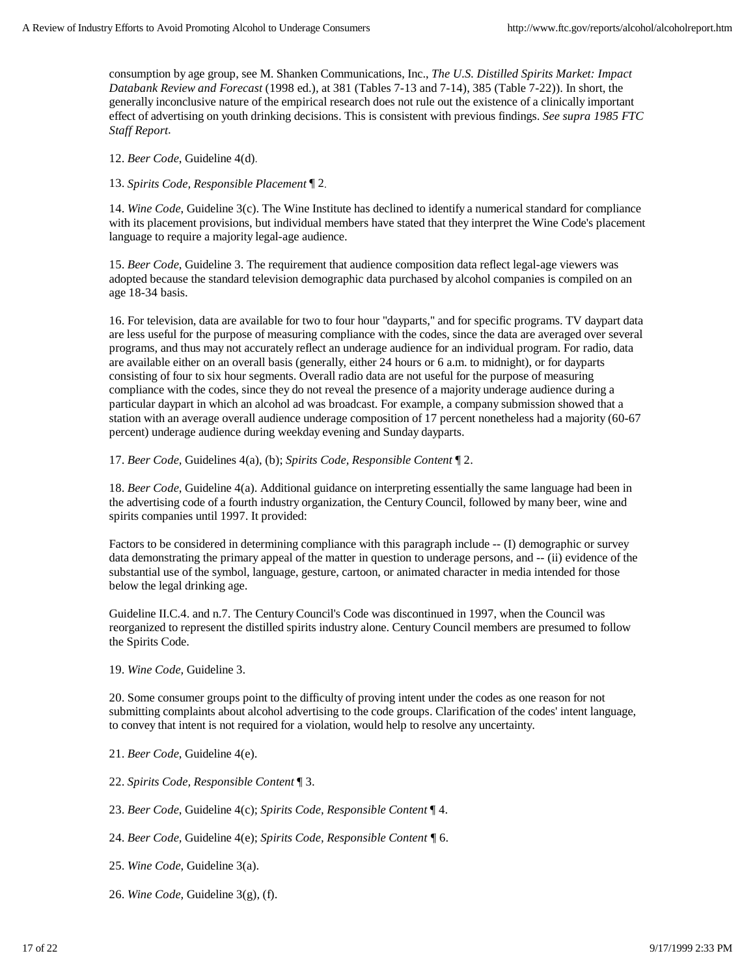consumption by age group, see M. Shanken Communications, Inc., *The U.S. Distilled Spirits Market: Impact Databank Review and Forecast* (1998 ed.)*,* at 381 (Tables 7-13 and 7-14), 385 (Table 7-22)). In short, the generally inconclusive nature of the empirical research does not rule out the existence of a clinically important effect of advertising on youth drinking decisions. This is consistent with previous findings. *See supra 1985 FTC Staff Report*.

12. *Beer Code*, Guideline 4(d).

13. *Spirits Code, Responsible Placement* ¶ 2.

14. *Wine Code*, Guideline 3(c). The Wine Institute has declined to identify a numerical standard for compliance with its placement provisions, but individual members have stated that they interpret the Wine Code's placement language to require a majority legal-age audience.

15. *Beer Code*, Guideline 3. The requirement that audience composition data reflect legal-age viewers was adopted because the standard television demographic data purchased by alcohol companies is compiled on an age 18-34 basis.

16. For television, data are available for two to four hour "dayparts," and for specific programs. TV daypart data are less useful for the purpose of measuring compliance with the codes, since the data are averaged over several programs, and thus may not accurately reflect an underage audience for an individual program. For radio, data are available either on an overall basis (generally, either 24 hours or 6 a.m. to midnight), or for dayparts consisting of four to six hour segments. Overall radio data are not useful for the purpose of measuring compliance with the codes, since they do not reveal the presence of a majority underage audience during a particular daypart in which an alcohol ad was broadcast. For example, a company submission showed that a station with an average overall audience underage composition of 17 percent nonetheless had a majority (60-67 percent) underage audience during weekday evening and Sunday dayparts.

17. *Beer Code,* Guidelines 4(a), (b); *Spirits Code, Responsible Content* ¶ 2.

18. *Beer Code*, Guideline 4(a). Additional guidance on interpreting essentially the same language had been in the advertising code of a fourth industry organization, the Century Council, followed by many beer, wine and spirits companies until 1997. It provided:

Factors to be considered in determining compliance with this paragraph include -- (I) demographic or survey data demonstrating the primary appeal of the matter in question to underage persons, and -- (ii) evidence of the substantial use of the symbol, language, gesture, cartoon, or animated character in media intended for those below the legal drinking age.

Guideline II.C.4. and n.7. The Century Council's Code was discontinued in 1997, when the Council was reorganized to represent the distilled spirits industry alone. Century Council members are presumed to follow the Spirits Code.

19. *Wine Code,* Guideline 3.

20. Some consumer groups point to the difficulty of proving intent under the codes as one reason for not submitting complaints about alcohol advertising to the code groups. Clarification of the codes' intent language, to convey that intent is not required for a violation, would help to resolve any uncertainty.

21. *Beer Code*, Guideline 4(e).

22. *Spirits Code, Responsible Content* ¶ 3.

23. *Beer Code*, Guideline 4(c); *Spirits Code, Responsible Content* ¶ 4.

24. *Beer Code,* Guideline 4(e); *Spirits Code, Responsible Content ¶* 6.

25. *Wine Code*, Guideline 3(a).

26. *Wine Code,* Guideline 3(g), (f).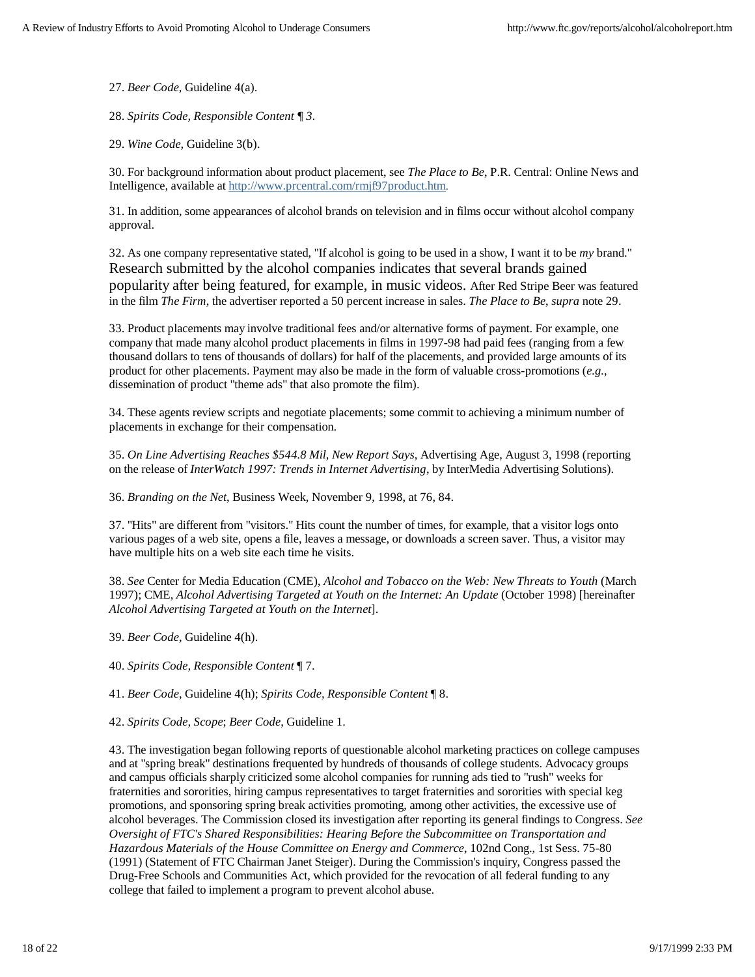27. *Beer Code,* Guideline 4(a).

28. *Spirits Code, Responsible Content ¶ 3.*

29. *Wine Code,* Guideline 3(b).

30. For background information about product placement, see *The Place to Be*, P.R. Central: Online News and Intelligence, available at http://www.prcentral.com/rmjf97product.htm.

31. In addition, some appearances of alcohol brands on television and in films occur without alcohol company approval.

32. As one company representative stated, "If alcohol is going to be used in a show, I want it to be *my* brand." Research submitted by the alcohol companies indicates that several brands gained popularity after being featured, for example, in music videos. After Red Stripe Beer was featured in the film *The Firm*, the advertiser reported a 50 percent increase in sales. *The Place to Be*, *supra* note 29.

33. Product placements may involve traditional fees and/or alternative forms of payment. For example, one company that made many alcohol product placements in films in 1997-98 had paid fees (ranging from a few thousand dollars to tens of thousands of dollars) for half of the placements, and provided large amounts of its product for other placements. Payment may also be made in the form of valuable cross-promotions (*e.g.*, dissemination of product "theme ads" that also promote the film).

34. These agents review scripts and negotiate placements; some commit to achieving a minimum number of placements in exchange for their compensation.

35. *On Line Advertising Reaches \$544.8 Mil, New Report Says*, Advertising Age, August 3, 1998 (reporting on the release of *InterWatch 1997: Trends in Internet Advertising*, by InterMedia Advertising Solutions).

36. *Branding on the Net*, Business Week, November 9, 1998, at 76, 84.

37. "Hits" are different from "visitors." Hits count the number of times, for example, that a visitor logs onto various pages of a web site, opens a file, leaves a message, or downloads a screen saver. Thus, a visitor may have multiple hits on a web site each time he visits.

38. *See* Center for Media Education (CME), *Alcohol and Tobacco on the Web: New Threats to Youth* (March 1997); CME, *Alcohol Advertising Targeted at Youth on the Internet: An Update* (October 1998) [hereinafter *Alcohol Advertising Targeted at Youth on the Internet*].

39. *Beer Code*, Guideline 4(h).

40. *Spirits Code, Responsible Content* ¶ 7.

41. *Beer Code*, Guideline 4(h); *Spirits Code, Responsible Content* ¶ 8.

42. *Spirits Code, Scope*; *Beer Code*, Guideline 1.

43. The investigation began following reports of questionable alcohol marketing practices on college campuses and at "spring break" destinations frequented by hundreds of thousands of college students. Advocacy groups and campus officials sharply criticized some alcohol companies for running ads tied to "rush" weeks for fraternities and sororities, hiring campus representatives to target fraternities and sororities with special keg promotions, and sponsoring spring break activities promoting, among other activities, the excessive use of alcohol beverages. The Commission closed its investigation after reporting its general findings to Congress. *See Oversight of FTC's Shared Responsibilities: Hearing Before the Subcommittee on Transportation and Hazardous Materials of the House Committee on Energy and Commerce*, 102nd Cong., 1st Sess. 75-80 (1991) (Statement of FTC Chairman Janet Steiger). During the Commission's inquiry, Congress passed the Drug-Free Schools and Communities Act, which provided for the revocation of all federal funding to any college that failed to implement a program to prevent alcohol abuse.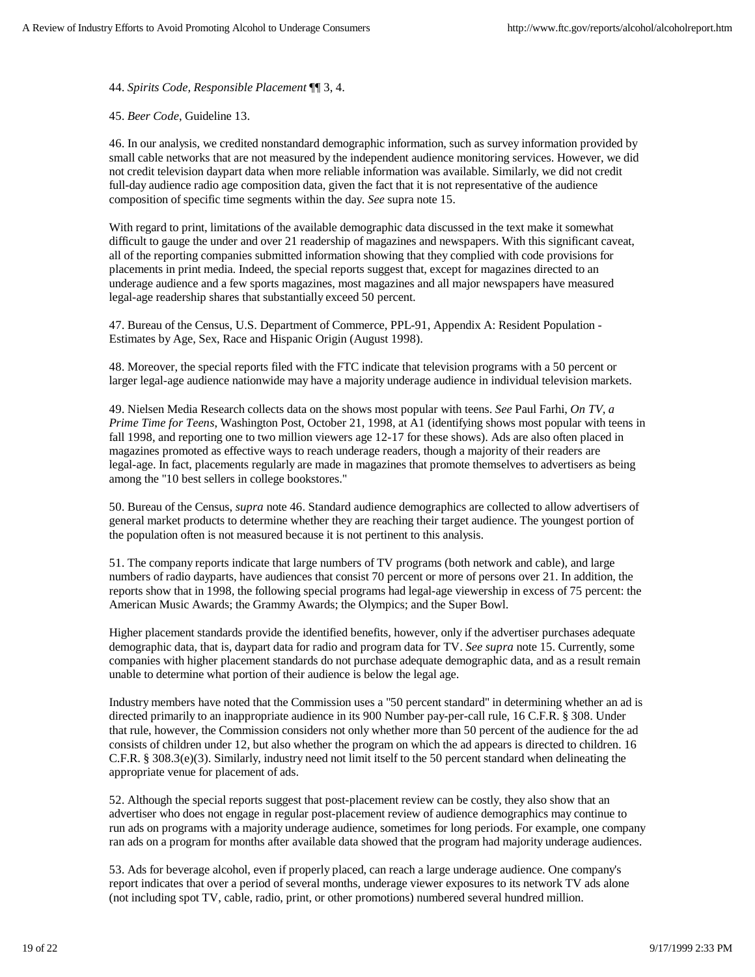44. *Spirits Code, Responsible Placement* ¶¶ 3, 4.

45. *Beer Code*, Guideline 13.

46. In our analysis, we credited nonstandard demographic information, such as survey information provided by small cable networks that are not measured by the independent audience monitoring services. However, we did not credit television daypart data when more reliable information was available. Similarly, we did not credit full-day audience radio age composition data, given the fact that it is not representative of the audience composition of specific time segments within the day. *See* supra note 15.

With regard to print, limitations of the available demographic data discussed in the text make it somewhat difficult to gauge the under and over 21 readership of magazines and newspapers. With this significant caveat, all of the reporting companies submitted information showing that they complied with code provisions for placements in print media. Indeed, the special reports suggest that, except for magazines directed to an underage audience and a few sports magazines, most magazines and all major newspapers have measured legal-age readership shares that substantially exceed 50 percent.

47. Bureau of the Census, U.S. Department of Commerce, PPL-91, Appendix A: Resident Population - Estimates by Age, Sex, Race and Hispanic Origin (August 1998).

48. Moreover, the special reports filed with the FTC indicate that television programs with a 50 percent or larger legal-age audience nationwide may have a majority underage audience in individual television markets.

49. Nielsen Media Research collects data on the shows most popular with teens. *See* Paul Farhi, *On TV, a Prime Time for Teens*, Washington Post, October 21, 1998, at A1 (identifying shows most popular with teens in fall 1998, and reporting one to two million viewers age 12-17 for these shows). Ads are also often placed in magazines promoted as effective ways to reach underage readers, though a majority of their readers are legal-age. In fact, placements regularly are made in magazines that promote themselves to advertisers as being among the "10 best sellers in college bookstores."

50. Bureau of the Census, *supra* note 46. Standard audience demographics are collected to allow advertisers of general market products to determine whether they are reaching their target audience. The youngest portion of the population often is not measured because it is not pertinent to this analysis.

51. The company reports indicate that large numbers of TV programs (both network and cable), and large numbers of radio dayparts, have audiences that consist 70 percent or more of persons over 21. In addition, the reports show that in 1998, the following special programs had legal-age viewership in excess of 75 percent: the American Music Awards; the Grammy Awards; the Olympics; and the Super Bowl.

Higher placement standards provide the identified benefits, however, only if the advertiser purchases adequate demographic data, that is, daypart data for radio and program data for TV. *See supra* note 15. Currently, some companies with higher placement standards do not purchase adequate demographic data, and as a result remain unable to determine what portion of their audience is below the legal age.

Industry members have noted that the Commission uses a "50 percent standard" in determining whether an ad is directed primarily to an inappropriate audience in its 900 Number pay-per-call rule, 16 C.F.R. § 308. Under that rule, however, the Commission considers not only whether more than 50 percent of the audience for the ad consists of children under 12, but also whether the program on which the ad appears is directed to children. 16 C.F.R. § 308.3(e)(3). Similarly, industry need not limit itself to the 50 percent standard when delineating the appropriate venue for placement of ads.

52. Although the special reports suggest that post-placement review can be costly, they also show that an advertiser who does not engage in regular post-placement review of audience demographics may continue to run ads on programs with a majority underage audience, sometimes for long periods. For example, one company ran ads on a program for months after available data showed that the program had majority underage audiences.

53. Ads for beverage alcohol, even if properly placed, can reach a large underage audience. One company's report indicates that over a period of several months, underage viewer exposures to its network TV ads alone (not including spot TV, cable, radio, print, or other promotions) numbered several hundred million.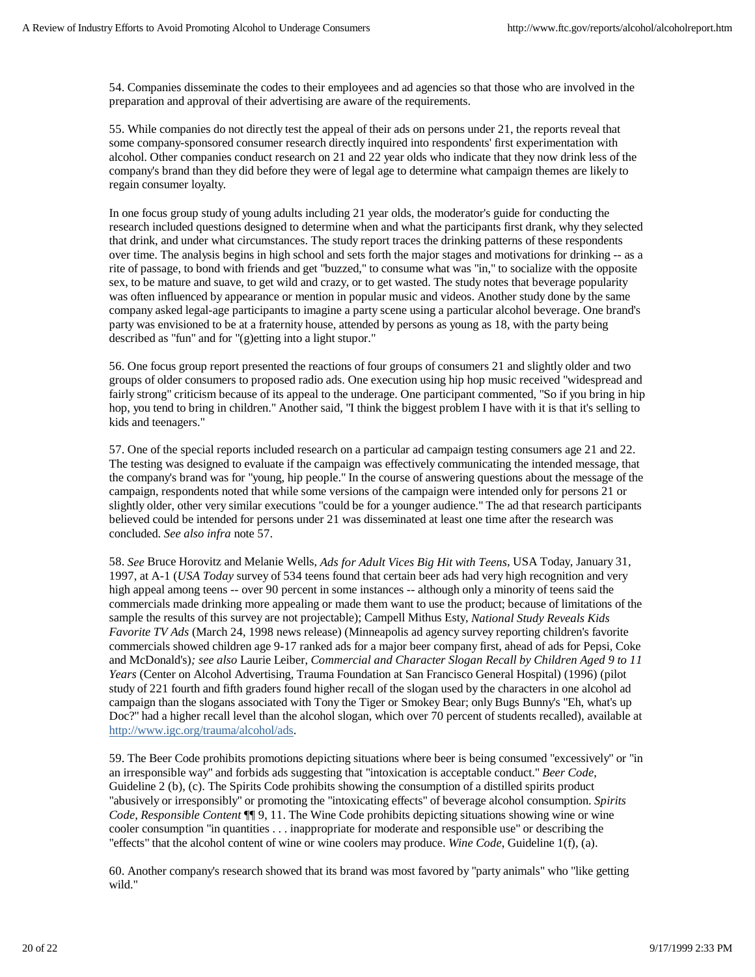54. Companies disseminate the codes to their employees and ad agencies so that those who are involved in the preparation and approval of their advertising are aware of the requirements.

55. While companies do not directly test the appeal of their ads on persons under 21, the reports reveal that some company-sponsored consumer research directly inquired into respondents' first experimentation with alcohol. Other companies conduct research on 21 and 22 year olds who indicate that they now drink less of the company's brand than they did before they were of legal age to determine what campaign themes are likely to regain consumer loyalty.

In one focus group study of young adults including 21 year olds, the moderator's guide for conducting the research included questions designed to determine when and what the participants first drank, why they selected that drink, and under what circumstances. The study report traces the drinking patterns of these respondents over time. The analysis begins in high school and sets forth the major stages and motivations for drinking -- as a rite of passage, to bond with friends and get "buzzed," to consume what was "in," to socialize with the opposite sex, to be mature and suave, to get wild and crazy, or to get wasted. The study notes that beverage popularity was often influenced by appearance or mention in popular music and videos. Another study done by the same company asked legal-age participants to imagine a party scene using a particular alcohol beverage. One brand's party was envisioned to be at a fraternity house, attended by persons as young as 18, with the party being described as "fun" and for "(g)etting into a light stupor."

56. One focus group report presented the reactions of four groups of consumers 21 and slightly older and two groups of older consumers to proposed radio ads. One execution using hip hop music received "widespread and fairly strong" criticism because of its appeal to the underage. One participant commented, "So if you bring in hip hop, you tend to bring in children." Another said, "I think the biggest problem I have with it is that it's selling to kids and teenagers."

57. One of the special reports included research on a particular ad campaign testing consumers age 21 and 22. The testing was designed to evaluate if the campaign was effectively communicating the intended message, that the company's brand was for "young, hip people." In the course of answering questions about the message of the campaign, respondents noted that while some versions of the campaign were intended only for persons 21 or slightly older, other very similar executions "could be for a younger audience." The ad that research participants believed could be intended for persons under 21 was disseminated at least one time after the research was concluded. *See also infra* note 57.

58. *See* Bruce Horovitz and Melanie Wells, *Ads for Adult Vices Big Hit with Teens*, USA Today, January 31, 1997, at A-1 (*USA Today* survey of 534 teens found that certain beer ads had very high recognition and very high appeal among teens -- over 90 percent in some instances -- although only a minority of teens said the commercials made drinking more appealing or made them want to use the product; because of limitations of the sample the results of this survey are not projectable); Campell Mithus Esty, *National Study Reveals Kids Favorite TV Ads* (March 24, 1998 news release) (Minneapolis ad agency survey reporting children's favorite commercials showed children age 9-17 ranked ads for a major beer company first, ahead of ads for Pepsi, Coke and McDonald's)*; see also* Laurie Leiber, *Commercial and Character Slogan Recall by Children Aged 9 to 11 Years* (Center on Alcohol Advertising, Trauma Foundation at San Francisco General Hospital) (1996) (pilot study of 221 fourth and fifth graders found higher recall of the slogan used by the characters in one alcohol ad campaign than the slogans associated with Tony the Tiger or Smokey Bear; only Bugs Bunny's "Eh, what's up Doc?" had a higher recall level than the alcohol slogan, which over 70 percent of students recalled), available at http://www.igc.org/trauma/alcohol/ads.

59. The Beer Code prohibits promotions depicting situations where beer is being consumed "excessively" or "in an irresponsible way" and forbids ads suggesting that "intoxication is acceptable conduct." *Beer Code*, Guideline 2 (b), (c). The Spirits Code prohibits showing the consumption of a distilled spirits product "abusively or irresponsibly" or promoting the "intoxicating effects" of beverage alcohol consumption. *Spirits Code, Responsible Content* ¶¶ 9, 11. The Wine Code prohibits depicting situations showing wine or wine cooler consumption "in quantities . . . inappropriate for moderate and responsible use" or describing the "effects" that the alcohol content of wine or wine coolers may produce. *Wine Code*, Guideline 1(f), (a).

60. Another company's research showed that its brand was most favored by "party animals" who "like getting wild."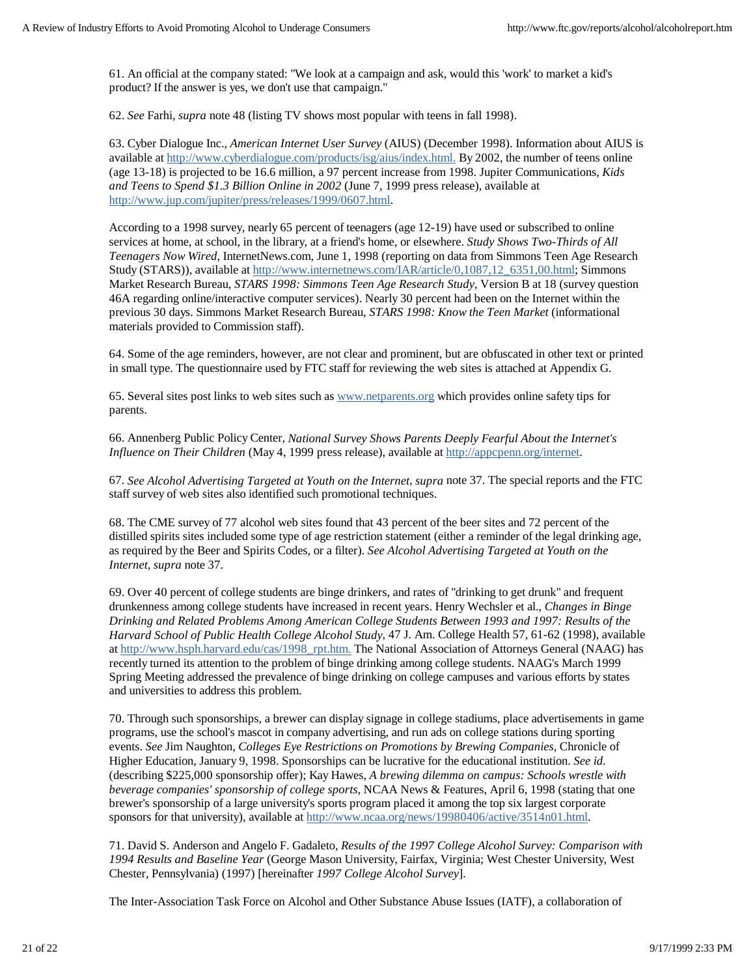61. An official at the company stated: "We look at a campaign and ask, would this 'work' to market a kid's product? If the answer is yes, we don't use that campaign."

62. *See* Farhi, *supra* note 48 (listing TV shows most popular with teens in fall 1998).

63. Cyber Dialogue Inc., *American Internet User Survey* (AIUS) (December 1998). Information about AIUS is available at http://www.cyberdialogue.com/products/isg/aius/index.html. By 2002, the number of teens online (age 13-18) is projected to be 16.6 million, a 97 percent increase from 1998. Jupiter Communications, *Kids and Teens to Spend \$1.3 Billion Online in 2002* (June 7, 1999 press release), available at http://www.jup.com/jupiter/press/releases/1999/0607.html.

According to a 1998 survey, nearly 65 percent of teenagers (age 12-19) have used or subscribed to online services at home, at school, in the library, at a friend's home, or elsewhere. *Study Shows Two-Thirds of All Teenagers Now Wired*, InternetNews.com, June 1, 1998 (reporting on data from Simmons Teen Age Research Study (STARS)), available at http://www.internetnews.com/IAR/article/0,1087,12\_6351,00.html; Simmons Market Research Bureau, *STARS 1998: Simmons Teen Age Research Study*, Version B at 18 (survey question 46A regarding online/interactive computer services). Nearly 30 percent had been on the Internet within the previous 30 days. Simmons Market Research Bureau, *STARS 1998: Know the Teen Market* (informational materials provided to Commission staff).

64. Some of the age reminders, however, are not clear and prominent, but are obfuscated in other text or printed in small type. The questionnaire used by FTC staff for reviewing the web sites is attached at Appendix G.

65. Several sites post links to web sites such as www.netparents.org which provides online safety tips for parents.

66. Annenberg Public Policy Center, *National Survey Shows Parents Deeply Fearful About the Internet's Influence on Their Children* (May 4, 1999 press release), available at http://appcpenn.org/internet.

67. *See Alcohol Advertising Targeted at Youth on the Internet*, *supra* note 37. The special reports and the FTC staff survey of web sites also identified such promotional techniques.

68. The CME survey of 77 alcohol web sites found that 43 percent of the beer sites and 72 percent of the distilled spirits sites included some type of age restriction statement (either a reminder of the legal drinking age, as required by the Beer and Spirits Codes, or a filter). *See Alcohol Advertising Targeted at Youth on the Internet*, *supra* note 37.

69. Over 40 percent of college students are binge drinkers, and rates of "drinking to get drunk" and frequent drunkenness among college students have increased in recent years. Henry Wechsler et al., *Changes in Binge Drinking and Related Problems Among American College Students Between 1993 and 1997: Results of the Harvard School of Public Health College Alcohol Study*, 47 J. Am. College Health 57, 61-62 (1998), available at http://www.hsph.harvard.edu/cas/1998\_rpt.htm. The National Association of Attorneys General (NAAG) has recently turned its attention to the problem of binge drinking among college students. NAAG's March 1999 Spring Meeting addressed the prevalence of binge drinking on college campuses and various efforts by states and universities to address this problem.

70. Through such sponsorships, a brewer can display signage in college stadiums, place advertisements in game programs, use the school's mascot in company advertising, and run ads on college stations during sporting events. *See* Jim Naughton, *Colleges Eye Restrictions on Promotions by Brewing Companies*, Chronicle of Higher Education, January 9, 1998. Sponsorships can be lucrative for the educational institution. *See id.* (describing \$225,000 sponsorship offer); Kay Hawes, *A brewing dilemma on campus: Schools wrestle with beverage companies' sponsorship of college sports,* NCAA News & Features, April 6, 1998 (stating that one brewer's sponsorship of a large university's sports program placed it among the top six largest corporate sponsors for that university), available at http://www.ncaa.org/news/19980406/active/3514n01.html.

71. David S. Anderson and Angelo F. Gadaleto, *Results of the 1997 College Alcohol Survey: Comparison with 1994 Results and Baseline Year* (George Mason University, Fairfax, Virginia; West Chester University, West Chester, Pennsylvania) (1997) [hereinafter *1997 College Alcohol Survey*].

The Inter-Association Task Force on Alcohol and Other Substance Abuse Issues (IATF), a collaboration of